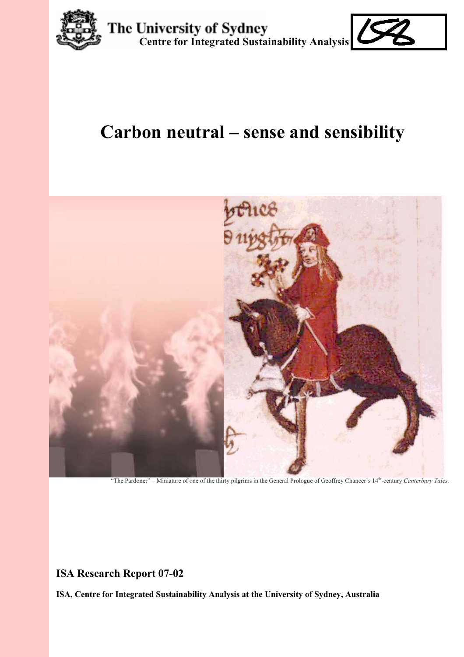

The University of Sydney<br>Centre for Integrated Sustainability Analysis

# Carbon neutral – sense and sensibility



"The Pardoner" – Miniature of one of the thirty pilgrims in the General Prologue of Geoffrey Chancer's 14<sup>th</sup>-century Canterbury Tales.

### ISA Research Report 07-02

ISA, Centre for Integrated Sustainability Analysis at the University of Sydney, Australia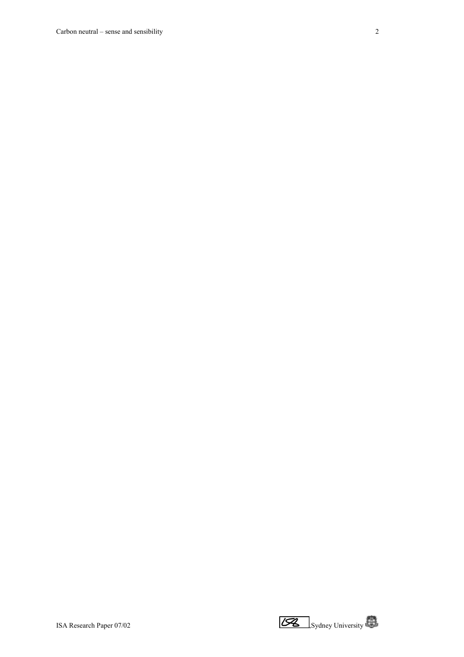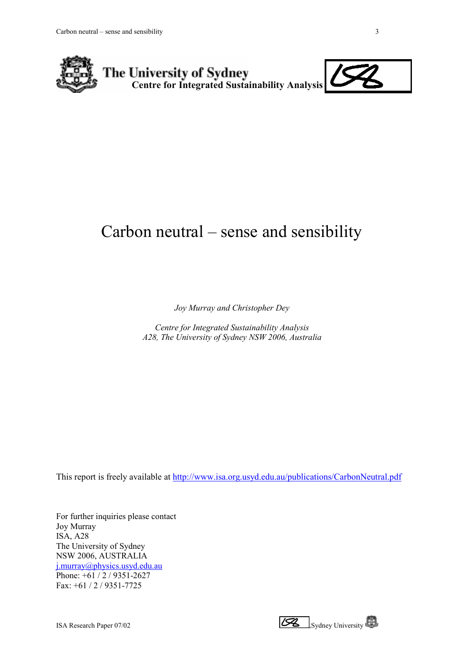

## Carbon neutral – sense and sensibility

Joy Murray and Christopher Dey

Centre for Integrated Sustainability Analysis A28, The University of Sydney NSW 2006, Australia

This report is freely available at http://www.isa.org.usyd.edu.au/publications/CarbonNeutral.pdf

For further inquiries please contact Joy Murray ISA, A28 The University of Sydney NSW 2006, AUSTRALIA j.murray@physics.usyd.edu.au Phone: +61 / 2 / 9351-2627 Fax: +61 / 2 / 9351-7725

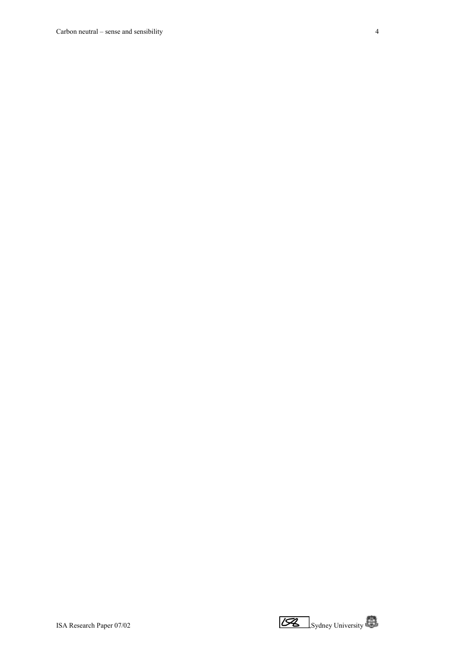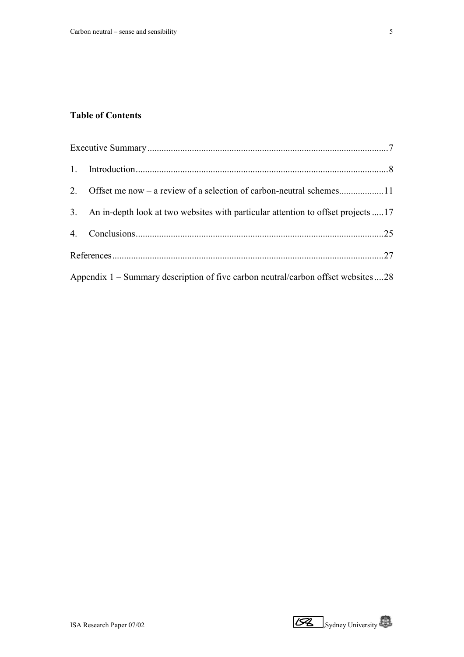#### Table of Contents

| 3. An in-depth look at two websites with particular attention to offset projects 17 |  |
|-------------------------------------------------------------------------------------|--|
|                                                                                     |  |
|                                                                                     |  |
| Appendix 1 – Summary description of five carbon neutral/carbon offset websites28    |  |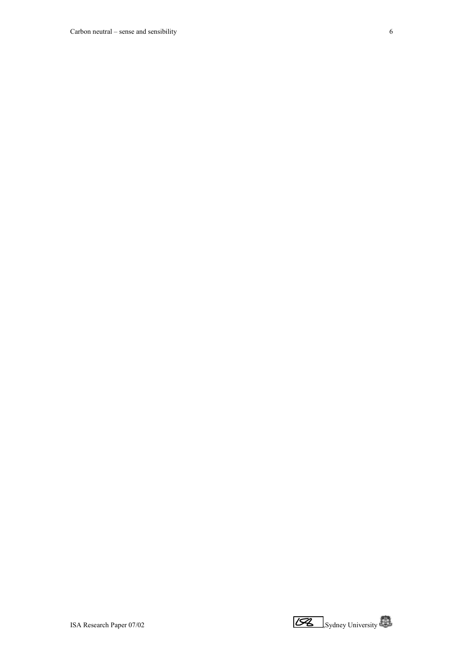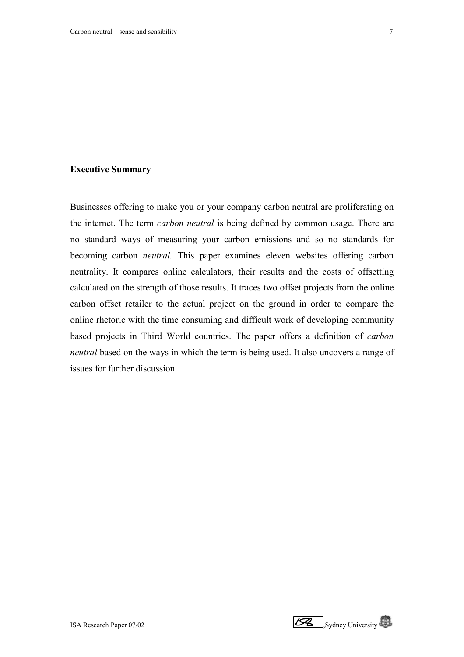#### Executive Summary

Businesses offering to make you or your company carbon neutral are proliferating on the internet. The term *carbon neutral* is being defined by common usage. There are no standard ways of measuring your carbon emissions and so no standards for becoming carbon neutral. This paper examines eleven websites offering carbon neutrality. It compares online calculators, their results and the costs of offsetting calculated on the strength of those results. It traces two offset projects from the online carbon offset retailer to the actual project on the ground in order to compare the online rhetoric with the time consuming and difficult work of developing community based projects in Third World countries. The paper offers a definition of carbon neutral based on the ways in which the term is being used. It also uncovers a range of issues for further discussion.

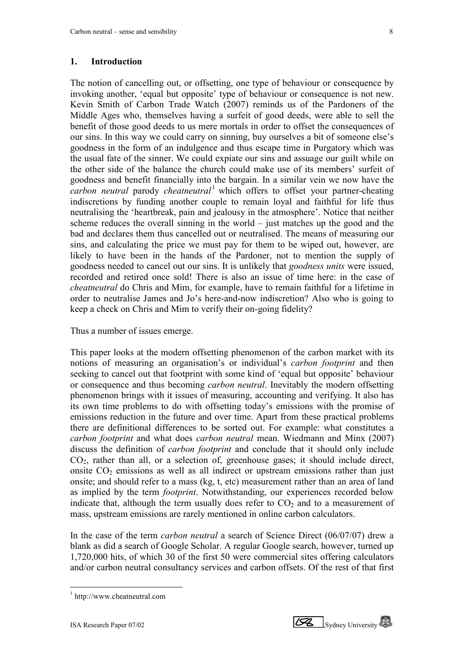#### 1. Introduction

The notion of cancelling out, or offsetting, one type of behaviour or consequence by invoking another, 'equal but opposite' type of behaviour or consequence is not new. Kevin Smith of Carbon Trade Watch (2007) reminds us of the Pardoners of the Middle Ages who, themselves having a surfeit of good deeds, were able to sell the benefit of those good deeds to us mere mortals in order to offset the consequences of our sins. In this way we could carry on sinning, buy ourselves a bit of someone else's goodness in the form of an indulgence and thus escape time in Purgatory which was the usual fate of the sinner. We could expiate our sins and assuage our guilt while on the other side of the balance the church could make use of its members' surfeit of goodness and benefit financially into the bargain. In a similar vein we now have the carbon neutral parody cheatneutral<sup>1</sup> which offers to offset your partner-cheating indiscretions by funding another couple to remain loyal and faithful for life thus neutralising the 'heartbreak, pain and jealousy in the atmosphere'. Notice that neither scheme reduces the overall sinning in the world – just matches up the good and the bad and declares them thus cancelled out or neutralised. The means of measuring our sins, and calculating the price we must pay for them to be wiped out, however, are likely to have been in the hands of the Pardoner, not to mention the supply of goodness needed to cancel out our sins. It is unlikely that goodness units were issued, recorded and retired once sold! There is also an issue of time here: in the case of cheatneutral do Chris and Mim, for example, have to remain faithful for a lifetime in order to neutralise James and Jo's here-and-now indiscretion? Also who is going to keep a check on Chris and Mim to verify their on-going fidelity?

Thus a number of issues emerge.

This paper looks at the modern offsetting phenomenon of the carbon market with its notions of measuring an organisation's or individual's carbon footprint and then seeking to cancel out that footprint with some kind of 'equal but opposite' behaviour or consequence and thus becoming carbon neutral. Inevitably the modern offsetting phenomenon brings with it issues of measuring, accounting and verifying. It also has its own time problems to do with offsetting today's emissions with the promise of emissions reduction in the future and over time. Apart from these practical problems there are definitional differences to be sorted out. For example: what constitutes a carbon footprint and what does carbon neutral mean. Wiedmann and Minx (2007) discuss the definition of carbon footprint and conclude that it should only include  $CO<sub>2</sub>$ , rather than all, or a selection of, greenhouse gases; it should include direct, onsite  $CO<sub>2</sub>$  emissions as well as all indirect or upstream emissions rather than just onsite; and should refer to a mass (kg, t, etc) measurement rather than an area of land as implied by the term footprint. Notwithstanding, our experiences recorded below indicate that, although the term usually does refer to  $CO<sub>2</sub>$  and to a measurement of mass, upstream emissions are rarely mentioned in online carbon calculators.

In the case of the term carbon neutral a search of Science Direct (06/07/07) drew a blank as did a search of Google Scholar. A regular Google search, however, turned up 1,720,000 hits, of which 30 of the first 50 were commercial sites offering calculators and/or carbon neutral consultancy services and carbon offsets. Of the rest of that first

 $\overline{a}$ 

<sup>1</sup> http://www.cheatneutral.com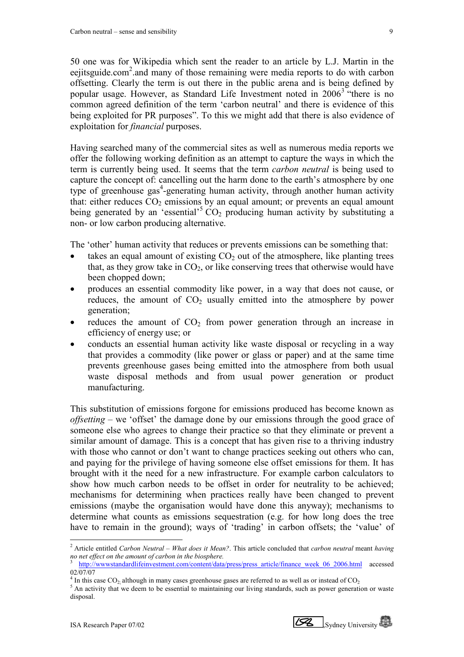50 one was for Wikipedia which sent the reader to an article by L.J. Martin in the eejitsguide.com<sup>2</sup> and many of those remaining were media reports to do with carbon offsetting. Clearly the term is out there in the public arena and is being defined by popular usage. However, as Standard Life Investment noted in 2006<sup>3</sup> "there is no common agreed definition of the term 'carbon neutral' and there is evidence of this being exploited for PR purposes". To this we might add that there is also evidence of exploitation for financial purposes.

Having searched many of the commercial sites as well as numerous media reports we offer the following working definition as an attempt to capture the ways in which the term is currently being used. It seems that the term carbon neutral is being used to capture the concept of: cancelling out the harm done to the earth's atmosphere by one type of greenhouse gas<sup>4</sup>-generating human activity, through another human activity that: either reduces  $CO<sub>2</sub>$  emissions by an equal amount; or prevents an equal amount being generated by an 'essential'<sup>5</sup>  $CO<sub>2</sub>$  producing human activity by substituting a non- or low carbon producing alternative.

The 'other' human activity that reduces or prevents emissions can be something that:

- takes an equal amount of existing  $CO<sub>2</sub>$  out of the atmosphere, like planting trees that, as they grow take in  $CO<sub>2</sub>$ , or like conserving trees that otherwise would have been chopped down;
- produces an essential commodity like power, in a way that does not cause, or reduces, the amount of  $CO<sub>2</sub>$  usually emitted into the atmosphere by power generation;
- reduces the amount of  $CO<sub>2</sub>$  from power generation through an increase in efficiency of energy use; or
- conducts an essential human activity like waste disposal or recycling in a way that provides a commodity (like power or glass or paper) and at the same time prevents greenhouse gases being emitted into the atmosphere from both usual waste disposal methods and from usual power generation or product manufacturing.

This substitution of emissions forgone for emissions produced has become known as offsetting – we 'offset' the damage done by our emissions through the good grace of someone else who agrees to change their practice so that they eliminate or prevent a similar amount of damage. This is a concept that has given rise to a thriving industry with those who cannot or don't want to change practices seeking out others who can, and paying for the privilege of having someone else offset emissions for them. It has brought with it the need for a new infrastructure. For example carbon calculators to show how much carbon needs to be offset in order for neutrality to be achieved; mechanisms for determining when practices really have been changed to prevent emissions (maybe the organisation would have done this anyway); mechanisms to determine what counts as emissions sequestration (e.g. for how long does the tree have to remain in the ground); ways of 'trading' in carbon offsets; the 'value' of

 $\overline{a}$ 

<sup>&</sup>lt;sup>2</sup> Article entitled Carbon Neutral – What does it Mean?. This article concluded that carbon neutral meant having no net effect on the amount of carbon in the biosphere.<br>3. http://www.standardlife.investment.com/content/data

http://wwwstandardlifeinvestment.com/content/data/press/press\_article/finance\_week\_06\_2006.html accessed 02/07/07

<sup>&</sup>lt;sup>4</sup> In this case CO<sub>2;</sub> although in many cases greenhouse gases are referred to as well as or instead of CO<sub>2</sub>

<sup>&</sup>lt;sup>5</sup> An activity that we deem to be essential to maintaining our living standards, such as power generation or waste disposal.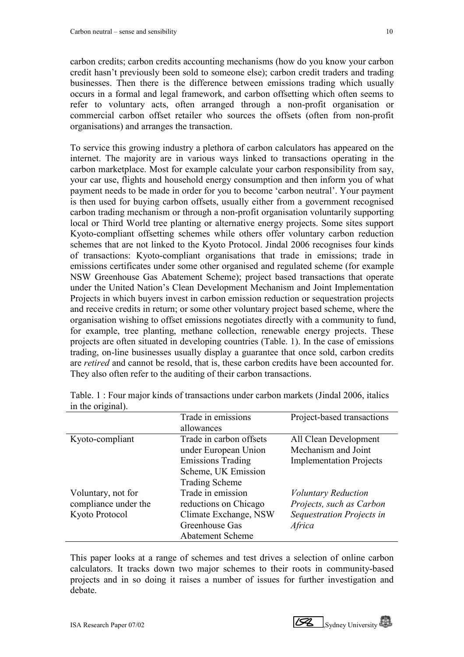carbon credits; carbon credits accounting mechanisms (how do you know your carbon credit hasn't previously been sold to someone else); carbon credit traders and trading businesses. Then there is the difference between emissions trading which usually occurs in a formal and legal framework, and carbon offsetting which often seems to refer to voluntary acts, often arranged through a non-profit organisation or commercial carbon offset retailer who sources the offsets (often from non-profit organisations) and arranges the transaction.

To service this growing industry a plethora of carbon calculators has appeared on the internet. The majority are in various ways linked to transactions operating in the carbon marketplace. Most for example calculate your carbon responsibility from say, your car use, flights and household energy consumption and then inform you of what payment needs to be made in order for you to become 'carbon neutral'. Your payment is then used for buying carbon offsets, usually either from a government recognised carbon trading mechanism or through a non-profit organisation voluntarily supporting local or Third World tree planting or alternative energy projects. Some sites support Kyoto-compliant offsetting schemes while others offer voluntary carbon reduction schemes that are not linked to the Kyoto Protocol. Jindal 2006 recognises four kinds of transactions: Kyoto-compliant organisations that trade in emissions; trade in emissions certificates under some other organised and regulated scheme (for example NSW Greenhouse Gas Abatement Scheme); project based transactions that operate under the United Nation's Clean Development Mechanism and Joint Implementation Projects in which buyers invest in carbon emission reduction or sequestration projects and receive credits in return; or some other voluntary project based scheme, where the organisation wishing to offset emissions negotiates directly with a community to fund, for example, tree planting, methane collection, renewable energy projects. These projects are often situated in developing countries (Table. 1). In the case of emissions trading, on-line businesses usually display a guarantee that once sold, carbon credits are retired and cannot be resold, that is, these carbon credits have been accounted for. They also often refer to the auditing of their carbon transactions.

|                      | Trade in emissions<br>allowances | Project-based transactions     |
|----------------------|----------------------------------|--------------------------------|
| Kyoto-compliant      | Trade in carbon offsets          |                                |
|                      |                                  | All Clean Development          |
|                      | under European Union             | Mechanism and Joint            |
|                      | <b>Emissions Trading</b>         | <b>Implementation Projects</b> |
|                      | Scheme, UK Emission              |                                |
|                      | <b>Trading Scheme</b>            |                                |
| Voluntary, not for   | Trade in emission                | <i>Voluntary Reduction</i>     |
| compliance under the | reductions on Chicago            | Projects, such as Carbon       |
| Kyoto Protocol       | Climate Exchange, NSW            | Sequestration Projects in      |
|                      | Greenhouse Gas                   | Africa                         |
|                      | <b>Abatement Scheme</b>          |                                |

Table. 1 : Four major kinds of transactions under carbon markets (Jindal 2006, italics in the original).

This paper looks at a range of schemes and test drives a selection of online carbon calculators. It tracks down two major schemes to their roots in community-based projects and in so doing it raises a number of issues for further investigation and debate.

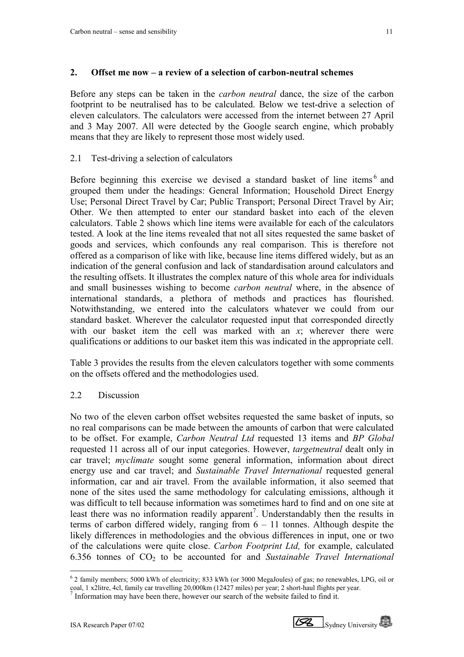#### 2. Offset me now – a review of a selection of carbon-neutral schemes

Before any steps can be taken in the carbon neutral dance, the size of the carbon footprint to be neutralised has to be calculated. Below we test-drive a selection of eleven calculators. The calculators were accessed from the internet between 27 April and 3 May 2007. All were detected by the Google search engine, which probably means that they are likely to represent those most widely used.

#### 2.1 Test-driving a selection of calculators

Before beginning this exercise we devised a standard basket of line items<sup>6</sup> and grouped them under the headings: General Information; Household Direct Energy Use; Personal Direct Travel by Car; Public Transport; Personal Direct Travel by Air; Other. We then attempted to enter our standard basket into each of the eleven calculators. Table 2 shows which line items were available for each of the calculators tested. A look at the line items revealed that not all sites requested the same basket of goods and services, which confounds any real comparison. This is therefore not offered as a comparison of like with like, because line items differed widely, but as an indication of the general confusion and lack of standardisation around calculators and the resulting offsets. It illustrates the complex nature of this whole area for individuals and small businesses wishing to become carbon neutral where, in the absence of international standards, a plethora of methods and practices has flourished. Notwithstanding, we entered into the calculators whatever we could from our standard basket. Wherever the calculator requested input that corresponded directly with our basket item the cell was marked with an  $x$ ; wherever there were qualifications or additions to our basket item this was indicated in the appropriate cell.

Table 3 provides the results from the eleven calculators together with some comments on the offsets offered and the methodologies used.

#### 2.2 Discussion

No two of the eleven carbon offset websites requested the same basket of inputs, so no real comparisons can be made between the amounts of carbon that were calculated to be offset. For example, Carbon Neutral Ltd requested 13 items and BP Global requested 11 across all of our input categories. However, targetneutral dealt only in car travel; myclimate sought some general information, information about direct energy use and car travel; and Sustainable Travel International requested general information, car and air travel. From the available information, it also seemed that none of the sites used the same methodology for calculating emissions, although it was difficult to tell because information was sometimes hard to find and on one site at least there was no information readily apparent<sup>7</sup>. Understandably then the results in terms of carbon differed widely, ranging from 6 – 11 tonnes. Although despite the likely differences in methodologies and the obvious differences in input, one or two of the calculations were quite close. Carbon Footprint Ltd, for example, calculated 6.356 tonnes of  $CO<sub>2</sub>$  to be accounted for and Sustainable Travel International



 6 2 family members; 5000 kWh of electricity; 833 kWh (or 3000 MegaJoules) of gas; no renewables, LPG, oil or coal, 1 x2litre, 4cl, family car travelling 20,000km (12427 miles) per year; 2 short-haul flights per year. 7

Information may have been there, however our search of the website failed to find it.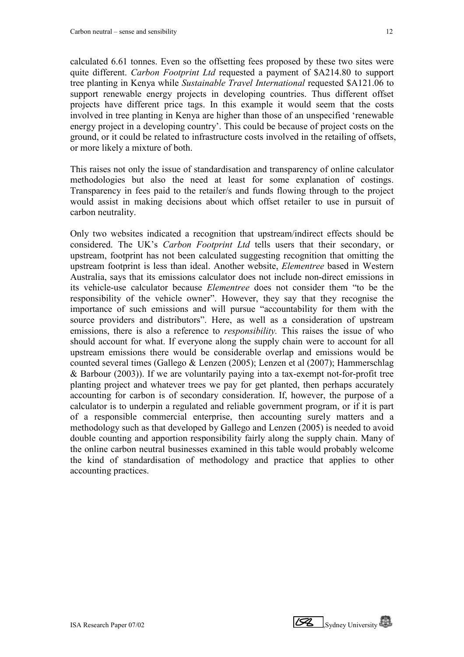calculated 6.61 tonnes. Even so the offsetting fees proposed by these two sites were quite different. Carbon Footprint Ltd requested a payment of \$A214.80 to support tree planting in Kenya while Sustainable Travel International requested \$A121.06 to support renewable energy projects in developing countries. Thus different offset projects have different price tags. In this example it would seem that the costs involved in tree planting in Kenya are higher than those of an unspecified 'renewable energy project in a developing country'. This could be because of project costs on the ground, or it could be related to infrastructure costs involved in the retailing of offsets, or more likely a mixture of both.

This raises not only the issue of standardisation and transparency of online calculator methodologies but also the need at least for some explanation of costings. Transparency in fees paid to the retailer/s and funds flowing through to the project would assist in making decisions about which offset retailer to use in pursuit of carbon neutrality.

Only two websites indicated a recognition that upstream/indirect effects should be considered. The UK's Carbon Footprint Ltd tells users that their secondary, or upstream, footprint has not been calculated suggesting recognition that omitting the upstream footprint is less than ideal. Another website, Elementree based in Western Australia, says that its emissions calculator does not include non-direct emissions in its vehicle-use calculator because Elementree does not consider them "to be the responsibility of the vehicle owner". However, they say that they recognise the importance of such emissions and will pursue "accountability for them with the source providers and distributors". Here, as well as a consideration of upstream emissions, there is also a reference to *responsibility*. This raises the issue of who should account for what. If everyone along the supply chain were to account for all upstream emissions there would be considerable overlap and emissions would be counted several times (Gallego & Lenzen (2005); Lenzen et al (2007); Hammerschlag & Barbour (2003)). If we are voluntarily paying into a tax-exempt not-for-profit tree planting project and whatever trees we pay for get planted, then perhaps accurately accounting for carbon is of secondary consideration. If, however, the purpose of a calculator is to underpin a regulated and reliable government program, or if it is part of a responsible commercial enterprise, then accounting surely matters and a methodology such as that developed by Gallego and Lenzen (2005) is needed to avoid double counting and apportion responsibility fairly along the supply chain. Many of the online carbon neutral businesses examined in this table would probably welcome the kind of standardisation of methodology and practice that applies to other accounting practices.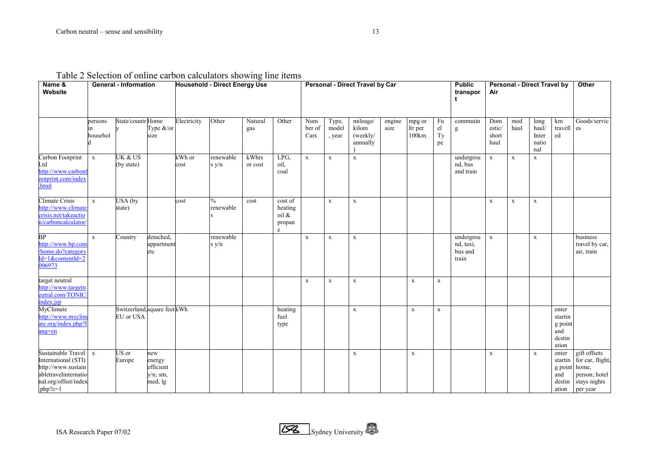| Name &<br>Website                                                                                                            |                     | <b>General - Information</b> |                                                      |                | <b>Household - Direct Energy Use</b> |                  |                                                       |                       | <b>Personal - Direct Travel by Car</b> |                                           |                |                            |                      |                                            | <b>Personal - Direct Travel by</b><br>Air |             |                                        |                                                             | Other                                                                         |
|------------------------------------------------------------------------------------------------------------------------------|---------------------|------------------------------|------------------------------------------------------|----------------|--------------------------------------|------------------|-------------------------------------------------------|-----------------------|----------------------------------------|-------------------------------------------|----------------|----------------------------|----------------------|--------------------------------------------|-------------------------------------------|-------------|----------------------------------------|-------------------------------------------------------------|-------------------------------------------------------------------------------|
|                                                                                                                              | persons<br>househol | State/countr Home            | Type &/or<br>size                                    | Electricity    | Other                                | Natural<br>gas   | Other                                                 | Num<br>ber of<br>Cars | Type,<br>model<br>, year               | mileage/<br>kilom<br>(weekly/<br>annually | engine<br>size | mpg or<br>ltr per<br>100km | Fu<br>el<br>Ty<br>pe | commutin<br>g                              | Dom<br>estic/<br>short<br>haul            | med<br>haul | long<br>haul/<br>Inter<br>natio<br>nal | km<br>travell es<br>ed                                      | Goods/servic                                                                  |
| Carbon Footprint<br>Ltd<br>http://www.carboni<br>ootprint.com/index<br>.html                                                 | $\mathbf x$         | JK & US<br>(by state)        |                                                      | «Wh or<br>cost | renewable<br>s y/n                   | kWhrs<br>or cost | LPG,<br>oil,<br>coal                                  | $\mathbf X$           | $\mathbf X$                            | $\mathbf X$                               |                |                            |                      | undergrou<br>nd, bus<br>and train          | $\mathbf X$                               | $\mathbf X$ | $\mathbf X$                            |                                                             |                                                                               |
| <b>Climate Crisis</b><br>http://www.climate<br>crisis.net/takeactio<br>n/carboncalculator/                                   | $\mathbf x$         | JSA (by<br>state)            |                                                      | cost           | $\frac{0}{0}$<br>renewable           | cost             | cost of<br>heating<br>oil &<br>propan<br>$\mathbf{e}$ |                       | $\mathbf X$                            | $\mathbf X$                               |                |                            |                      |                                            | $\mathbf X$                               | $\mathbf x$ | $\mathbf x$                            |                                                             |                                                                               |
| <b>BP</b><br>http://www.bp.com<br>home.do?category<br>$Id=1$ &content $Id=2$<br>006973                                       | $\mathbf{x}$        | Country                      | detached,<br>appartment<br>etc                       |                | renewable<br>$s \sqrt{n}$            |                  |                                                       | $\mathbf X$           | $\mathbf X$                            | $\mathbf X$                               |                |                            |                      | undergrou<br>nd, taxi,<br>bus and<br>train | $\mathbf X$                               |             | $\mathbf X$                            |                                                             | business<br>travel by car,<br>air, train                                      |
| target neutral<br>http://www.targetn<br>eutral.com/TONIC<br>index.jsp                                                        |                     |                              |                                                      |                |                                      |                  |                                                       | $\mathbf X$           | $\mathbf X$                            | $\mathbf{x}$                              |                | $\mathbf X$                | $\mathbf X$          |                                            |                                           |             |                                        |                                                             |                                                                               |
| MyClimate<br>http://www.myclim<br>ate.org/index.php?l<br>ang=en                                                              |                     | EU or USA                    | Switzerland, square feet kWh                         |                |                                      |                  | heating<br>fuel<br>type                               |                       |                                        | $\mathbf{x}$                              |                | $\mathbf X$                | $\mathbf X$          |                                            |                                           |             |                                        | enter<br>startin<br>g point<br>and<br>destin<br>ation       |                                                                               |
| Sustainable Travel<br>International (STI)<br>http://www.sustain<br>abletravelinternatio<br>nal.org/offset/index<br>$php?c=1$ | $\mathbf{x}$        | JS or<br>Europe              | new<br>energy<br>efficient<br>$y/n$ ; sm,<br>med, lg |                |                                      |                  |                                                       |                       |                                        | $\mathbf X$                               |                | $\mathbf X$                |                      |                                            | $\mathbf X$                               |             | $\mathbf X$                            | enter<br>startin<br>g point home,<br>and<br>destin<br>ation | gift offsets<br>for car, flight,<br>person; hotel<br>stays nights<br>per year |

#### Table 2 Selection of online carbon calculators showing line items

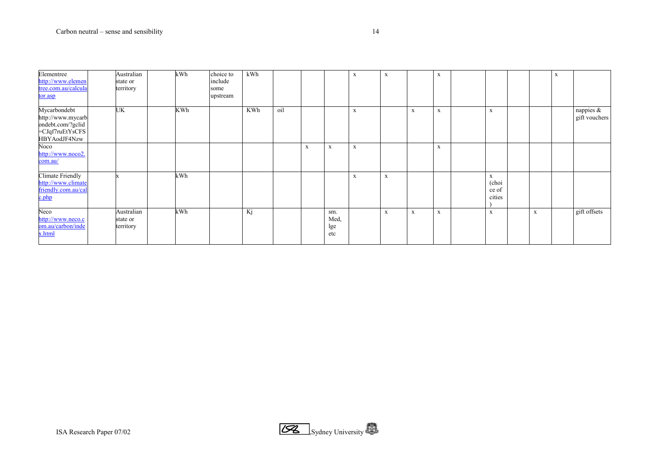| Elementree<br>http://www.elemen<br>tree.com.au/calcula<br>tor.asp                         | Australian<br>state or<br>territory | kWh | choice to<br>include<br>some<br>upstream | kWh |     |   |                           | X            | X           |             | $\mathbf X$ |                                         |             | $\mathbf X$ |                               |
|-------------------------------------------------------------------------------------------|-------------------------------------|-----|------------------------------------------|-----|-----|---|---------------------------|--------------|-------------|-------------|-------------|-----------------------------------------|-------------|-------------|-------------------------------|
| Mycarbondebt<br>http://www.mycarb<br>ondebt.com/?gclid<br>=CJqf7ruEtYsCFS<br>HBYAodJF4Nzw | UK                                  | KWh |                                          | KWh | oil |   |                           | $\mathbf{x}$ |             | $\mathbf x$ | $\mathbf X$ | $\mathbf X$                             |             |             | nappies $\&$<br>gift vouchers |
| Noco<br>http://www.noco2.<br>com.au/                                                      |                                     |     |                                          |     |     | X | X                         | $\mathbf{x}$ |             |             | $\mathbf X$ |                                         |             |             |                               |
| Climate Friendly<br>http://www.climate<br>friendly.com.au/cal<br>$cp$ hp                  |                                     | kWh |                                          |     |     |   |                           | $\mathbf{x}$ | $\mathbf X$ |             |             | $\mathbf X$<br>(choi<br>ce of<br>cities |             |             |                               |
| Neco<br>http://www.neco.c<br>om.au/carbon/inde<br>x.html                                  | Australian<br>state or<br>territory | kWh |                                          | Kj  |     |   | sm.<br>Med,<br>lge<br>etc |              | $\mathbf X$ | $\mathbf X$ | $\mathbf X$ | $\mathbf X$                             | $\mathbf X$ |             | gift offsets                  |

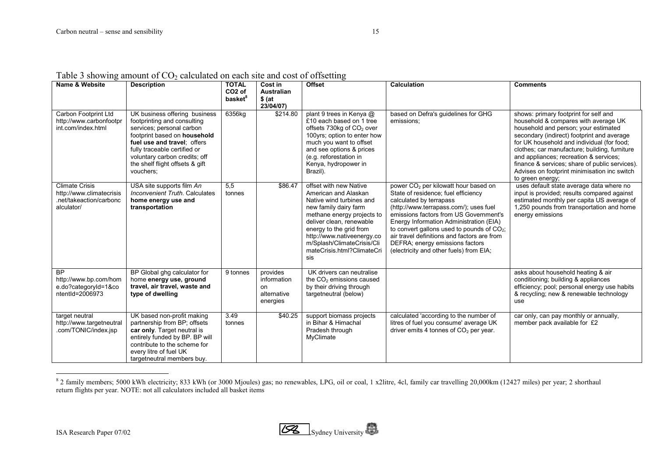| <b>Name &amp; Website</b>                                                                  | <b>Description</b>                                                                                                                                                                                                                                                        | <b>TOTAL</b><br>CO <sub>2</sub> of<br>basket | Cost in<br><b>Australian</b><br>\$ (at<br>23/04/07)      | <b>Offset</b>                                                                                                                                                                                                                                                                             | <b>Calculation</b>                                                                                                                                                                                                                                                                                                                                                                                                          | <b>Comments</b>                                                                                                                                                                                                                                                                                                                                                                                                                    |
|--------------------------------------------------------------------------------------------|---------------------------------------------------------------------------------------------------------------------------------------------------------------------------------------------------------------------------------------------------------------------------|----------------------------------------------|----------------------------------------------------------|-------------------------------------------------------------------------------------------------------------------------------------------------------------------------------------------------------------------------------------------------------------------------------------------|-----------------------------------------------------------------------------------------------------------------------------------------------------------------------------------------------------------------------------------------------------------------------------------------------------------------------------------------------------------------------------------------------------------------------------|------------------------------------------------------------------------------------------------------------------------------------------------------------------------------------------------------------------------------------------------------------------------------------------------------------------------------------------------------------------------------------------------------------------------------------|
| Carbon Footprint Ltd<br>http://www.carbonfootpr<br>int.com/index.html                      | UK business offering business<br>footprinting and consulting<br>services; personal carbon<br>footprint based on household<br>fuel use and travel; offers<br>fully traceable certified or<br>voluntary carbon credits; off<br>the shelf flight offsets & gift<br>vouchers; | 6356kg                                       | \$214.80                                                 | plant 9 trees in Kenya @<br>£10 each based on 1 tree<br>offsets 730kg of CO <sub>2</sub> over<br>100yrs; option to enter how<br>much you want to offset<br>and see options & prices<br>(e.g. reforestation in<br>Kenya, hydropower in<br>Brazil).                                         | based on Defra's guidelines for GHG<br>emissions:                                                                                                                                                                                                                                                                                                                                                                           | shows: primary footprint for self and<br>household & compares with average UK<br>household and person; your estimated<br>secondary (indirect) footprint and average<br>for UK household and individual (for food;<br>clothes; car manufacture; building, furniture<br>and appliances; recreation & services;<br>finance & services; share of public services).<br>Advises on footprint minimisation inc switch<br>to green energy; |
| <b>Climate Crisis</b><br>http://www.climatecrisis<br>.net/takeaction/carbonc<br>alculator/ | USA site supports film An<br>Inconvenient Truth, Calculates<br>home energy use and<br>transportation                                                                                                                                                                      | 5,5<br>tonnes                                | \$86.47                                                  | offset with new Native<br>American and Alaskan<br>Native wind turbines and<br>new family dairy farm<br>methane energy projects to<br>deliver clean, renewable<br>energy to the grid from<br>http://www.nativeenergy.co<br>m/Splash/ClimateCrisis/Cli<br>mateCrisis.html?ClimateCri<br>sis | power CO <sub>2</sub> per kilowatt hour based on<br>State of residence; fuel efficiency<br>calculated by terrapass<br>(http://www.terrapass.com/); uses fuel<br>emissions factors from US Government's<br>Energy Information Administration (EIA)<br>to convert gallons used to pounds of CO2;<br>air travel definitions and factors are from<br>DEFRA; energy emissions factors<br>(electricity and other fuels) from EIA; | uses default state average data where no<br>input is provided; results compared against<br>estimated monthly per capita US average of<br>1,250 pounds from transportation and home<br>energy emissions                                                                                                                                                                                                                             |
| $\overline{BP}$<br>http://www.bp.com/hom<br>e.do?categoryId=1&co<br>ntentId=2006973        | BP Global ghg calculator for<br>home energy use, ground<br>travel, air travel, waste and<br>type of dwelling                                                                                                                                                              | 9 tonnes                                     | provides<br>information<br>on<br>alternative<br>energies | UK drivers can neutralise<br>the CO <sub>2</sub> emissions caused<br>by their driving through<br>targetneutral (below)                                                                                                                                                                    |                                                                                                                                                                                                                                                                                                                                                                                                                             | asks about household heating & air<br>conditioning; building & appliances<br>efficiency; pool; personal energy use habits<br>& recycling; new & renewable technology<br>use                                                                                                                                                                                                                                                        |
| target neutral<br>http://www.targetneutral<br>.com/TONIC/index.jsp                         | UK based non-profit making<br>partnership from BP; offsets<br>car only. Target neutral is<br>entirely funded by BP. BP will<br>contribute to the scheme for<br>every litre of fuel UK<br>targetneutral members buy.                                                       | 3.49<br>tonnes                               | \$40.25                                                  | support biomass projects<br>in Bihar & Himachal<br>Pradesh through<br>MyClimate                                                                                                                                                                                                           | calculated 'according to the number of<br>litres of fuel you consume' average UK<br>driver emits 4 tonnes of $CO2$ per year.                                                                                                                                                                                                                                                                                                | car only, can pay monthly or annually,<br>member pack available for £2                                                                                                                                                                                                                                                                                                                                                             |

Table 3 showing amount of  $CO<sub>2</sub>$  calculated on each site and cost of offsetting

<sup>&</sup>lt;sup>8</sup> 2 family members; 5000 kWh electricity; 833 kWh (or 3000 Mjoules) gas; no renewables, LPG, oil or coal, 1 x2litre, 4cl, family car travelling 20,000km (12427 miles) per year; 2 shorthaul return flights per year. NOTE: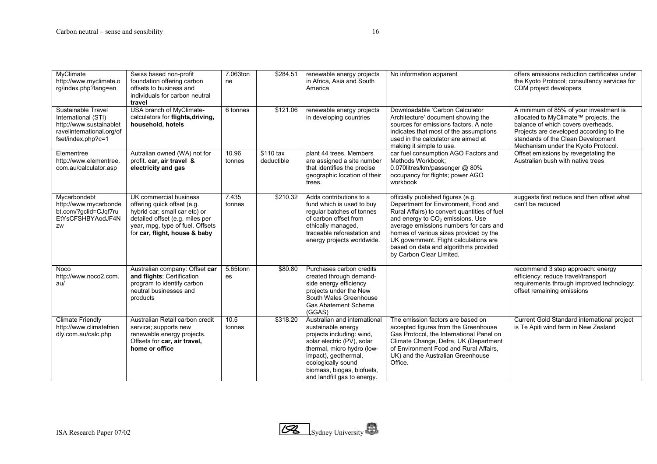| MvClimate<br>http://www.myclimate.o<br>rg/index.php?lang=en                                                             | Swiss based non-profit<br>foundation offering carbon<br>offsets to business and<br>individuals for carbon neutral<br>travel                                                                    | 7.063ton<br>ne  | \$284.51                | renewable energy projects<br>in Africa, Asia and South<br>America                                                                                                                                                                                      | No information apparent                                                                                                                                                                                                                                                                                                                                                       | offers emissions reduction certificates under<br>the Kyoto Protocol; consultancy services for<br>CDM project developers                                                                                                                       |
|-------------------------------------------------------------------------------------------------------------------------|------------------------------------------------------------------------------------------------------------------------------------------------------------------------------------------------|-----------------|-------------------------|--------------------------------------------------------------------------------------------------------------------------------------------------------------------------------------------------------------------------------------------------------|-------------------------------------------------------------------------------------------------------------------------------------------------------------------------------------------------------------------------------------------------------------------------------------------------------------------------------------------------------------------------------|-----------------------------------------------------------------------------------------------------------------------------------------------------------------------------------------------------------------------------------------------|
| Sustainable Travel<br>International (STI)<br>http://www.sustainablet<br>ravelinternational.org/of<br>fset/index.php?c=1 | USA branch of MyClimate-<br>calculators for flights, driving,<br>household, hotels                                                                                                             | 6 tonnes        | \$121.06                | renewable energy projects<br>in developing countries                                                                                                                                                                                                   | Downloadable 'Carbon Calculator<br>Architecture' document showing the<br>sources for emissions factors. A note<br>indicates that most of the assumptions<br>used in the calculator are aimed at<br>making it simple to use.                                                                                                                                                   | A minimum of 85% of your investment is<br>allocated to MyClimate™ projects, the<br>balance of which covers overheads.<br>Projects are developed according to the<br>standards of the Clean Development<br>Mechanism under the Kyoto Protocol. |
| Elementree<br>http://www.elementree.<br>com.au/calculator.asp                                                           | Autralian owned (WA) not for<br>profit. car, air travel &<br>electricity and gas                                                                                                               | 10.96<br>tonnes | \$110 tax<br>deductible | plant 44 trees. Members<br>are assigned a site number<br>that identifies the precise<br>geographic location of their<br>trees.                                                                                                                         | car fuel consumption AGO Factors and<br>Methods Workbook;<br>0.070litres/km/passenger @ 80%<br>occupancy for flights; power AGO<br>workbook                                                                                                                                                                                                                                   | Offset emissions by revegetating the<br>Australian bush with native trees                                                                                                                                                                     |
| Mycarbondebt<br>http://www.mycarbonde<br>bt.com/?gclid=CJqf7ru<br>EtYsCFSHBYAodJF4N<br>ZW                               | UK commercial business<br>offering quick offset (e.g.<br>hybrid car; small car etc) or<br>detailed offset (e.g. miles per<br>year, mpg, type of fuel. Offsets<br>for car, flight, house & baby | 7.435<br>tonnes | \$210.32                | Adds contributions to a<br>fund which is used to buy<br>regular batches of tonnes<br>of carbon offset from<br>ethically managed,<br>traceable reforestation and<br>energy projects worldwide.                                                          | officially published figures (e.g.<br>Department for Environment, Food and<br>Rural Affairs) to convert quantities of fuel<br>and energy to CO <sub>2</sub> emissions. Use<br>average emissions numbers for cars and<br>homes of various sizes provided by the<br>UK government. Flight calculations are<br>based on data and algorithms provided<br>by Carbon Clear Limited. | suggests first reduce and then offset what<br>can't be reduced                                                                                                                                                                                |
| Noco<br>http://www.noco2.com.<br>au/                                                                                    | Australian company: Offset car<br>and flights: Certification<br>program to identify carbon<br>neutral businesses and<br>products                                                               | 5.65tonn<br>es  | \$80.80                 | Purchases carbon credits<br>created through demand-<br>side energy efficiency<br>projects under the New<br>South Wales Greenhouse<br><b>Gas Abatement Scheme</b><br>(GGAS)                                                                             |                                                                                                                                                                                                                                                                                                                                                                               | recommend 3 step approach: energy<br>efficiency; reduce travel/transport<br>requirements through improved technology;<br>offset remaining emissions                                                                                           |
| <b>Climate Friendly</b><br>http://www.climatefrien<br>dly.com.au/calc.php                                               | Australian Retail carbon credit<br>service; supports new<br>renewable energy projects.<br>Offsets for car, air travel,<br>home or office                                                       | 10.5<br>tonnes  | \$318.20                | Australian and international<br>sustainable energy<br>projects including: wind,<br>solar electric (PV), solar<br>thermal, micro hydro (low-<br>impact), geothermal,<br>ecologically sound<br>biomass, biogas, biofuels,<br>and landfill gas to energy. | The emission factors are based on<br>accepted figures from the Greenhouse<br>Gas Protocol, the International Panel on<br>Climate Change, Defra, UK (Department<br>of Environment Food and Rural Affairs.<br>UK) and the Australian Greenhouse<br>Office.                                                                                                                      | Current Gold Standard international project<br>is Te Apiti wind farm in New Zealand                                                                                                                                                           |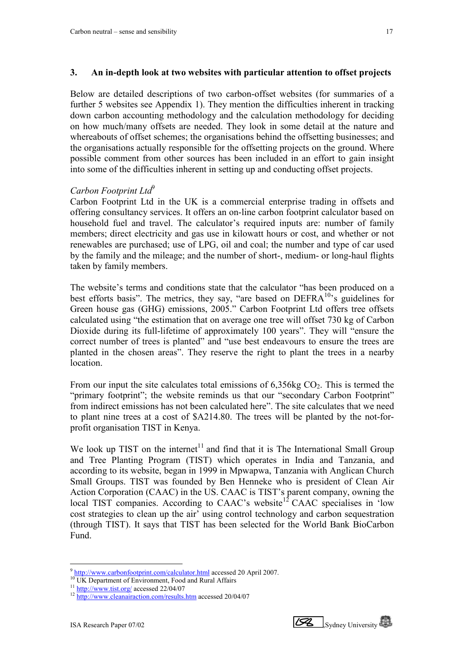Below are detailed descriptions of two carbon-offset websites (for summaries of a further 5 websites see Appendix 1). They mention the difficulties inherent in tracking down carbon accounting methodology and the calculation methodology for deciding on how much/many offsets are needed. They look in some detail at the nature and whereabouts of offset schemes; the organisations behind the offsetting businesses; and the organisations actually responsible for the offsetting projects on the ground. Where possible comment from other sources has been included in an effort to gain insight into some of the difficulties inherent in setting up and conducting offset projects.

#### Carbon Footprint Ltd<sup>9</sup>

Carbon Footprint Ltd in the UK is a commercial enterprise trading in offsets and offering consultancy services. It offers an on-line carbon footprint calculator based on household fuel and travel. The calculator's required inputs are: number of family members; direct electricity and gas use in kilowatt hours or cost, and whether or not renewables are purchased; use of LPG, oil and coal; the number and type of car used by the family and the mileage; and the number of short-, medium- or long-haul flights taken by family members.

The website's terms and conditions state that the calculator "has been produced on a best efforts basis". The metrics, they say, "are based on  $D{\rm EFRA}^{10}$ 's guidelines for Green house gas (GHG) emissions, 2005." Carbon Footprint Ltd offers tree offsets calculated using "the estimation that on average one tree will offset 730 kg of Carbon Dioxide during its full-lifetime of approximately 100 years". They will "ensure the correct number of trees is planted" and "use best endeavours to ensure the trees are planted in the chosen areas". They reserve the right to plant the trees in a nearby location.

From our input the site calculates total emissions of  $6,356kg$  CO<sub>2</sub>. This is termed the "primary footprint"; the website reminds us that our "secondary Carbon Footprint" from indirect emissions has not been calculated here". The site calculates that we need to plant nine trees at a cost of \$A214.80. The trees will be planted by the not-forprofit organisation TIST in Kenya.

We look up TIST on the internet<sup>11</sup> and find that it is The International Small Group and Tree Planting Program (TIST) which operates in India and Tanzania, and according to its website, began in 1999 in Mpwapwa, Tanzania with Anglican Church Small Groups. TIST was founded by Ben Henneke who is president of Clean Air Action Corporation (CAAC) in the US. CAAC is TIST's parent company, owning the local TIST companies. According to CAAC's website<sup>12</sup> CAAC specialises in 'low cost strategies to clean up the air' using control technology and carbon sequestration (through TIST). It says that TIST has been selected for the World Bank BioCarbon Fund.

 $\overline{a}$ 

<sup>&</sup>lt;sup>9</sup> http://www.carbonfootprint.com/calculator.html accessed 20 April 2007.

<sup>&</sup>lt;sup>10</sup> UK Department of Environment, Food and Rural Affairs

<sup>&</sup>lt;sup>11</sup> http://www.tist.org/ accessed 22/04/07

<sup>&</sup>lt;sup>12</sup> http://www.cleanairaction.com/results.htm accessed 20/04/07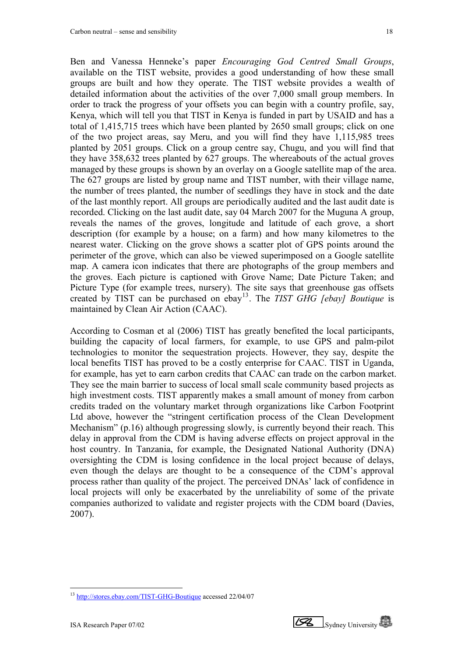Ben and Vanessa Henneke's paper Encouraging God Centred Small Groups, available on the TIST website, provides a good understanding of how these small groups are built and how they operate. The TIST website provides a wealth of detailed information about the activities of the over 7,000 small group members. In order to track the progress of your offsets you can begin with a country profile, say, Kenya, which will tell you that TIST in Kenya is funded in part by USAID and has a total of 1,415,715 trees which have been planted by 2650 small groups; click on one of the two project areas, say Meru, and you will find they have 1,115,985 trees planted by 2051 groups. Click on a group centre say, Chugu, and you will find that they have 358,632 trees planted by 627 groups. The whereabouts of the actual groves managed by these groups is shown by an overlay on a Google satellite map of the area. The 627 groups are listed by group name and TIST number, with their village name, the number of trees planted, the number of seedlings they have in stock and the date of the last monthly report. All groups are periodically audited and the last audit date is recorded. Clicking on the last audit date, say 04 March 2007 for the Muguna A group, reveals the names of the groves, longitude and latitude of each grove, a short description (for example by a house; on a farm) and how many kilometres to the nearest water. Clicking on the grove shows a scatter plot of GPS points around the perimeter of the grove, which can also be viewed superimposed on a Google satellite map. A camera icon indicates that there are photographs of the group members and the groves. Each picture is captioned with Grove Name; Date Picture Taken; and Picture Type (for example trees, nursery). The site says that greenhouse gas offsets created by TIST can be purchased on  $e^{i\theta}$  The TIST GHG [ebay] Boutique is maintained by Clean Air Action (CAAC).

According to Cosman et al (2006) TIST has greatly benefited the local participants, building the capacity of local farmers, for example, to use GPS and palm-pilot technologies to monitor the sequestration projects. However, they say, despite the local benefits TIST has proved to be a costly enterprise for CAAC. TIST in Uganda, for example, has yet to earn carbon credits that CAAC can trade on the carbon market. They see the main barrier to success of local small scale community based projects as high investment costs. TIST apparently makes a small amount of money from carbon credits traded on the voluntary market through organizations like Carbon Footprint Ltd above, however the "stringent certification process of the Clean Development Mechanism" (p.16) although progressing slowly, is currently beyond their reach. This delay in approval from the CDM is having adverse effects on project approval in the host country. In Tanzania, for example, the Designated National Authority (DNA) oversighting the CDM is losing confidence in the local project because of delays, even though the delays are thought to be a consequence of the CDM's approval process rather than quality of the project. The perceived DNAs' lack of confidence in local projects will only be exacerbated by the unreliability of some of the private companies authorized to validate and register projects with the CDM board (Davies, 2007).

 $\overline{a}$ <sup>13</sup> http://stores.ebay.com/TIST-GHG-Boutique accessed 22/04/07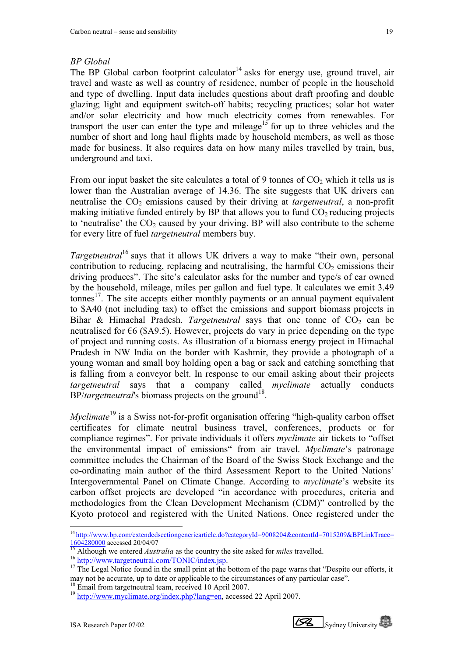#### BP Global

The BP Global carbon footprint calculator<sup>14</sup> asks for energy use, ground travel, air travel and waste as well as country of residence, number of people in the household and type of dwelling. Input data includes questions about draft proofing and double glazing; light and equipment switch-off habits; recycling practices; solar hot water and/or solar electricity and how much electricity comes from renewables. For transport the user can enter the type and mileage<sup>15</sup> for up to three vehicles and the number of short and long haul flights made by household members, as well as those made for business. It also requires data on how many miles travelled by train, bus, underground and taxi.

From our input basket the site calculates a total of 9 tonnes of  $CO<sub>2</sub>$  which it tells us is lower than the Australian average of 14.36. The site suggests that UK drivers can neutralise the  $CO<sub>2</sub>$  emissions caused by their driving at *targetneutral*, a non-profit making initiative funded entirely by BP that allows you to fund  $CO<sub>2</sub>$  reducing projects to 'neutralise' the  $CO<sub>2</sub>$  caused by your driving. BP will also contribute to the scheme for every litre of fuel targetneutral members buy.

Targetneutral<sup>16</sup> says that it allows UK drivers a way to make "their own, personal contribution to reducing, replacing and neutralising, the harmful  $CO<sub>2</sub>$  emissions their driving produces". The site's calculator asks for the number and type/s of car owned by the household, mileage, miles per gallon and fuel type. It calculates we emit 3.49  $t$ onnes<sup>17</sup>. The site accepts either monthly payments or an annual payment equivalent to \$A40 (not including tax) to offset the emissions and support biomass projects in Bihar & Himachal Pradesh. Targetneutral says that one tonne of  $CO<sub>2</sub>$  can be neutralised for €6 (\$A9.5). However, projects do vary in price depending on the type of project and running costs. As illustration of a biomass energy project in Himachal Pradesh in NW India on the border with Kashmir, they provide a photograph of a young woman and small boy holding open a bag or sack and catching something that is falling from a conveyor belt. In response to our email asking about their projects targetneutral says that a company called myclimate actually conducts  $BP/targetneutral's$  biomass projects on the ground<sup>18</sup>.

*Myclimate*<sup>19</sup> is a Swiss not-for-profit organisation offering "high-quality carbon offset certificates for climate neutral business travel, conferences, products or for compliance regimes". For private individuals it offers myclimate air tickets to "offset the environmental impact of emissions" from air travel. Myclimate's patronage committee includes the Chairman of the Board of the Swiss Stock Exchange and the co-ordinating main author of the third Assessment Report to the United Nations' Intergovernmental Panel on Climate Change. According to myclimate's website its carbon offset projects are developed "in accordance with procedures, criteria and methodologies from the Clean Development Mechanism (CDM)" controlled by the Kyoto protocol and registered with the United Nations. Once registered under the



 $\overline{a}$ <sup>14</sup> http://www.bp.com/extendedsectiongenericarticle.do?categoryId=9008204&contentId=7015209&BPLinkTrace= 1604280000 accessed 20/04/07

<sup>&</sup>lt;sup>15</sup> Although we entered *Australia* as the country the site asked for *miles* travelled.

<sup>&</sup>lt;sup>16</sup> http://www.targetneutral.com/TONIC/index.jsp.

<sup>&</sup>lt;sup>17</sup> The Legal Notice found in the small print at the bottom of the page warns that "Despite our efforts, it may not be accurate, up to date or applicable to the circumstances of any particular case".

<sup>&</sup>lt;sup>18</sup> Email from targetneutral team, received 10 April 2007.

<sup>&</sup>lt;sup>19</sup> http://www.myclimate.org/index.php?lang=en, accessed 22 April 2007.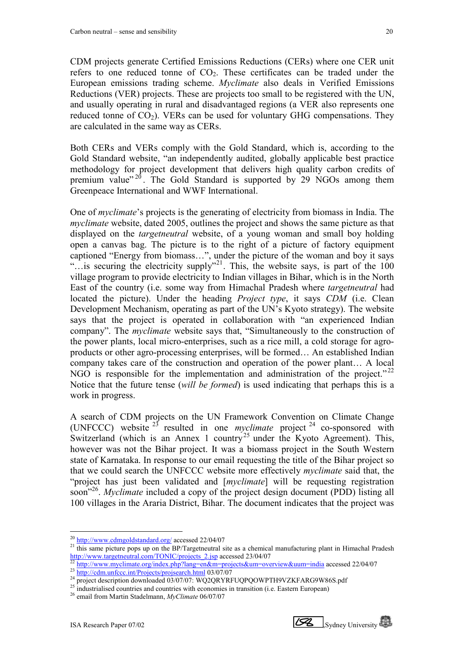CDM projects generate Certified Emissions Reductions (CERs) where one CER unit refers to one reduced tonne of  $CO<sub>2</sub>$ . These certificates can be traded under the European emissions trading scheme. Myclimate also deals in Verified Emissions Reductions (VER) projects. These are projects too small to be registered with the UN, and usually operating in rural and disadvantaged regions (a VER also represents one reduced tonne of  $CO<sub>2</sub>$ ). VERs can be used for voluntary GHG compensations. They are calculated in the same way as CERs.

Both CERs and VERs comply with the Gold Standard, which is, according to the Gold Standard website, "an independently audited, globally applicable best practice methodology for project development that delivers high quality carbon credits of premium value"<sup>20</sup>. The Gold Standard is supported by 29 NGOs among them Greenpeace International and WWF International.

One of myclimate's projects is the generating of electricity from biomass in India. The myclimate website, dated 2005, outlines the project and shows the same picture as that displayed on the *targetneutral* website, of a young woman and small boy holding open a canvas bag. The picture is to the right of a picture of factory equipment captioned "Energy from biomass…", under the picture of the woman and boy it says "... is securing the electricity supply"<sup>21</sup>. This, the website says, is part of the  $100$ village program to provide electricity to Indian villages in Bihar, which is in the North East of the country (i.e. some way from Himachal Pradesh where targetneutral had located the picture). Under the heading *Project type*, it says *CDM* (i.e. Clean Development Mechanism, operating as part of the UN's Kyoto strategy). The website says that the project is operated in collaboration with "an experienced Indian company". The myclimate website says that, "Simultaneously to the construction of the power plants, local micro-enterprises, such as a rice mill, a cold storage for agroproducts or other agro-processing enterprises, will be formed… An established Indian company takes care of the construction and operation of the power plant… A local NGO is responsible for the implementation and administration of the project."<sup>22</sup> Notice that the future tense (will be formed) is used indicating that perhaps this is a work in progress.

A search of CDM projects on the UN Framework Convention on Climate Change (UNFCCC) website  $2^3$  resulted in one *myclimate* project  $2^4$  co-sponsored with Switzerland (which is an Annex 1 country<sup>25</sup> under the Kyoto Agreement). This, however was not the Bihar project. It was a biomass project in the South Western state of Karnataka. In response to our email requesting the title of the Bihar project so that we could search the UNFCCC website more effectively myclimate said that, the "project has just been validated and [*myclimate*] will be requesting registration soon"<sup>26</sup>. Myclimate included a copy of the project design document (PDD) listing all 100 villages in the Araria District, Bihar. The document indicates that the project was



 $\overline{a}$ <sup>20</sup> http://www.cdmgoldstandard.org/ accessed 22/04/07

<sup>&</sup>lt;sup>21</sup> this same picture pops up on the BP/Targetneutral site as a chemical manufacturing plant in Himachal Pradesh http://www.targetneutral.com/TONIC/projects\_2.jsp accessed 23/04/07

<sup>&</sup>lt;sup>22</sup> http://www.myclimate.org/index.php?lang=en&m=projects&um=overview&uum=india accessed 22/04/07

 $\frac{23 \text{ http://cdm.unfecc.int/Projects/projects/projects/Int033007/07}}{24 \text{ http://cdm.unfecc.int/Projects/projects/Int033007/07}}$ 

project description downloaded 03/07/07: WQ2QRYRFUQPQOWPTH9VZKFARG9W86S.pdf

<sup>&</sup>lt;sup>25</sup> industrialised countries and countries with economies in transition (i.e. Eastern European)

<sup>&</sup>lt;sup>26</sup> email from Martin Stadelmann, MyClimate 06/07/07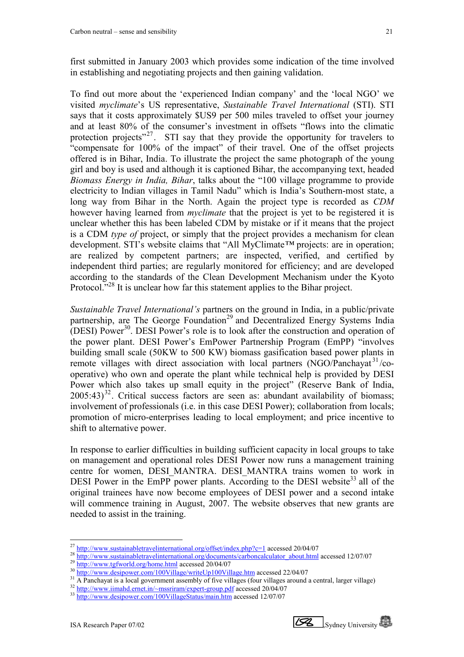first submitted in January 2003 which provides some indication of the time involved in establishing and negotiating projects and then gaining validation.

To find out more about the 'experienced Indian company' and the 'local NGO' we visited myclimate's US representative, Sustainable Travel International (STI). STI says that it costs approximately \$US9 per 500 miles traveled to offset your journey and at least 80% of the consumer's investment in offsets "flows into the climatic protection projects"<sup>27</sup>. STI say that they provide the opportunity for travelers to "compensate for 100% of the impact" of their travel. One of the offset projects offered is in Bihar, India. To illustrate the project the same photograph of the young girl and boy is used and although it is captioned Bihar, the accompanying text, headed Biomass Energy in India, Bihar, talks about the "100 village programme to provide electricity to Indian villages in Tamil Nadu" which is India's Southern-most state, a long way from Bihar in the North. Again the project type is recorded as CDM however having learned from *myclimate* that the project is yet to be registered it is unclear whether this has been labeled CDM by mistake or if it means that the project is a CDM type of project, or simply that the project provides a mechanism for clean development. STI's website claims that "All MyClimate™ projects: are in operation; are realized by competent partners; are inspected, verified, and certified by independent third parties; are regularly monitored for efficiency; and are developed according to the standards of the Clean Development Mechanism under the Kyoto Protocol."<sup>28</sup> It is unclear how far this statement applies to the Bihar project.

Sustainable Travel International's partners on the ground in India, in a public/private partnership, are The George Foundation<sup>29</sup> and Decentralized Energy Systems India (DESI) Power<sup>30</sup>. DESI Power's role is to look after the construction and operation of the power plant. DESI Power's EmPower Partnership Program (EmPP) "involves building small scale (50KW to 500 KW) biomass gasification based power plants in remote villages with direct association with local partners  $(NGO/Panchavat<sup>31</sup>/co$ operative) who own and operate the plant while technical help is provided by DESI Power which also takes up small equity in the project" (Reserve Bank of India,  $2005:43$ <sup>32</sup>. Critical success factors are seen as: abundant availability of biomass; involvement of professionals (i.e. in this case DESI Power); collaboration from locals; promotion of micro-enterprises leading to local employment; and price incentive to shift to alternative power.

In response to earlier difficulties in building sufficient capacity in local groups to take on management and operational roles DESI Power now runs a management training centre for women, DESI\_MANTRA. DESI\_MANTRA trains women to work in DESI Power in the EmPP power plants. According to the DESI website<sup>33</sup> all of the original trainees have now become employees of DESI power and a second intake will commence training in August, 2007. The website observes that new grants are needed to assist in the training.

 $\overline{a}$ <sup>27</sup> http://www.sustainabletravelinternational.org/offset/index.php?c=1 accessed 20/04/07

<sup>&</sup>lt;sup>28</sup> http://www.sustainabletravelinternational.org/documents/carboncalculator\_about.html accessed 12/07/07

 $^{29}$  http://www.tgfworld.org/home.html accessed 20/04/07

<sup>30</sup> http://www.tgiworid.org/nonic.num accessed 25/0 to /

<sup>&</sup>lt;sup>31</sup> A Panchayat is a local government assembly of five villages (four villages around a central, larger village)

<sup>32</sup> http://www.iimahd.ernet.in/~mssriram/expert-group.pdf accessed 20/04/07

<sup>&</sup>lt;sup>33</sup> http://www.desipower.com/100VillageStatus/main.htm accessed 12/07/07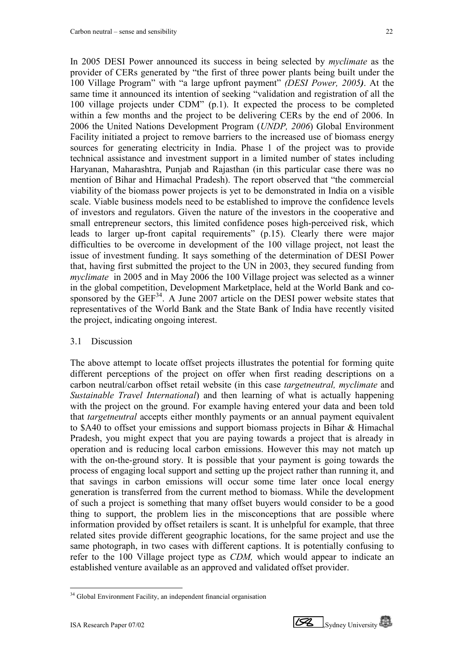In 2005 DESI Power announced its success in being selected by *myclimate* as the provider of CERs generated by "the first of three power plants being built under the 100 Village Program" with "a large upfront payment" (DESI Power, 2005). At the same time it announced its intention of seeking "validation and registration of all the 100 village projects under CDM" (p.1). It expected the process to be completed within a few months and the project to be delivering CERs by the end of 2006. In 2006 the United Nations Development Program (UNDP, 2006) Global Environment Facility initiated a project to remove barriers to the increased use of biomass energy sources for generating electricity in India. Phase 1 of the project was to provide technical assistance and investment support in a limited number of states including Haryanan, Maharashtra, Punjab and Rajasthan (in this particular case there was no mention of Bihar and Himachal Pradesh). The report observed that "the commercial viability of the biomass power projects is yet to be demonstrated in India on a visible scale. Viable business models need to be established to improve the confidence levels of investors and regulators. Given the nature of the investors in the cooperative and small entrepreneur sectors, this limited confidence poses high-perceived risk, which leads to larger up-front capital requirements" (p.15). Clearly there were major difficulties to be overcome in development of the 100 village project, not least the issue of investment funding. It says something of the determination of DESI Power that, having first submitted the project to the UN in 2003, they secured funding from myclimate in 2005 and in May 2006 the 100 Village project was selected as a winner in the global competition, Development Marketplace, held at the World Bank and cosponsored by the  $GEF<sup>34</sup>$ . A June 2007 article on the DESI power website states that representatives of the World Bank and the State Bank of India have recently visited the project, indicating ongoing interest.

#### 3.1 Discussion

The above attempt to locate offset projects illustrates the potential for forming quite different perceptions of the project on offer when first reading descriptions on a carbon neutral/carbon offset retail website (in this case targetneutral, myclimate and Sustainable Travel International) and then learning of what is actually happening with the project on the ground. For example having entered your data and been told that *targetneutral* accepts either monthly payments or an annual payment equivalent to \$A40 to offset your emissions and support biomass projects in Bihar & Himachal Pradesh, you might expect that you are paying towards a project that is already in operation and is reducing local carbon emissions. However this may not match up with the on-the-ground story. It is possible that your payment is going towards the process of engaging local support and setting up the project rather than running it, and that savings in carbon emissions will occur some time later once local energy generation is transferred from the current method to biomass. While the development of such a project is something that many offset buyers would consider to be a good thing to support, the problem lies in the misconceptions that are possible where information provided by offset retailers is scant. It is unhelpful for example, that three related sites provide different geographic locations, for the same project and use the same photograph, in two cases with different captions. It is potentially confusing to refer to the 100 Village project type as CDM, which would appear to indicate an established venture available as an approved and validated offset provider.



 $\overline{a}$ <sup>34</sup> Global Environment Facility, an independent financial organisation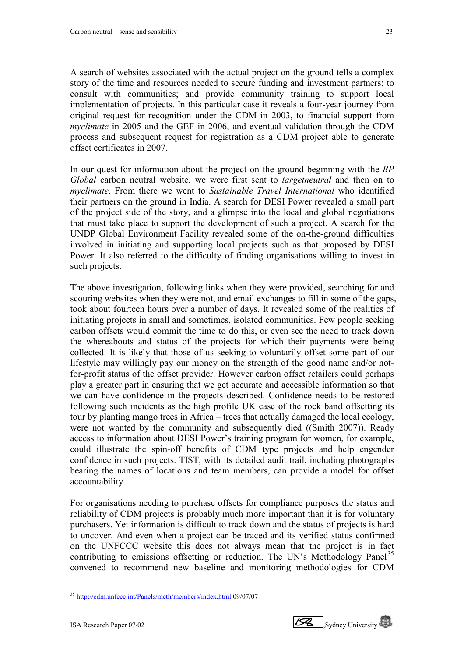A search of websites associated with the actual project on the ground tells a complex story of the time and resources needed to secure funding and investment partners; to consult with communities; and provide community training to support local implementation of projects. In this particular case it reveals a four-year journey from original request for recognition under the CDM in 2003, to financial support from myclimate in 2005 and the GEF in 2006, and eventual validation through the CDM process and subsequent request for registration as a CDM project able to generate offset certificates in 2007.

In our quest for information about the project on the ground beginning with the BP Global carbon neutral website, we were first sent to *targetneutral* and then on to myclimate. From there we went to Sustainable Travel International who identified their partners on the ground in India. A search for DESI Power revealed a small part of the project side of the story, and a glimpse into the local and global negotiations that must take place to support the development of such a project. A search for the UNDP Global Environment Facility revealed some of the on-the-ground difficulties involved in initiating and supporting local projects such as that proposed by DESI Power. It also referred to the difficulty of finding organisations willing to invest in such projects.

The above investigation, following links when they were provided, searching for and scouring websites when they were not, and email exchanges to fill in some of the gaps, took about fourteen hours over a number of days. It revealed some of the realities of initiating projects in small and sometimes, isolated communities. Few people seeking carbon offsets would commit the time to do this, or even see the need to track down the whereabouts and status of the projects for which their payments were being collected. It is likely that those of us seeking to voluntarily offset some part of our lifestyle may willingly pay our money on the strength of the good name and/or notfor-profit status of the offset provider. However carbon offset retailers could perhaps play a greater part in ensuring that we get accurate and accessible information so that we can have confidence in the projects described. Confidence needs to be restored following such incidents as the high profile UK case of the rock band offsetting its tour by planting mango trees in Africa – trees that actually damaged the local ecology, were not wanted by the community and subsequently died ((Smith 2007)). Ready access to information about DESI Power's training program for women, for example, could illustrate the spin-off benefits of CDM type projects and help engender confidence in such projects. TIST, with its detailed audit trail, including photographs bearing the names of locations and team members, can provide a model for offset accountability.

For organisations needing to purchase offsets for compliance purposes the status and reliability of CDM projects is probably much more important than it is for voluntary purchasers. Yet information is difficult to track down and the status of projects is hard to uncover. And even when a project can be traced and its verified status confirmed on the UNFCCC website this does not always mean that the project is in fact contributing to emissions offsetting or reduction. The UN's Methodology Panel<sup>35</sup> convened to recommend new baseline and monitoring methodologies for CDM



 $\overline{a}$ <sup>35</sup> http://cdm.unfccc.int/Panels/meth/members/index.html 09/07/07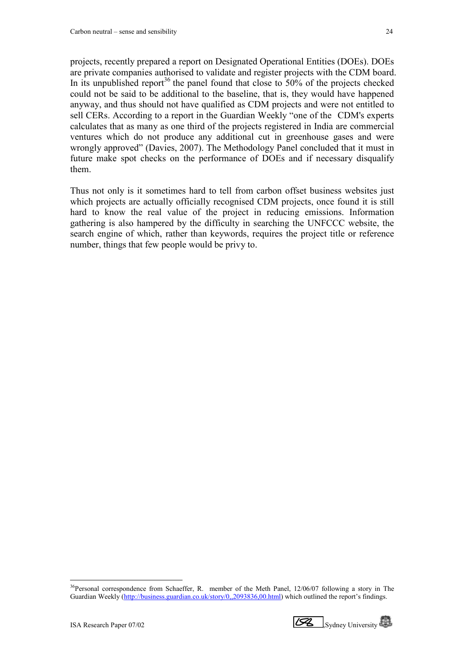projects, recently prepared a report on Designated Operational Entities (DOEs). DOEs are private companies authorised to validate and register projects with the CDM board. In its unpublished report<sup>36</sup> the panel found that close to  $50\%$  of the projects checked could not be said to be additional to the baseline, that is, they would have happened anyway, and thus should not have qualified as CDM projects and were not entitled to sell CERs. According to a report in the Guardian Weekly "one of the CDM's experts calculates that as many as one third of the projects registered in India are commercial ventures which do not produce any additional cut in greenhouse gases and were wrongly approved" (Davies, 2007). The Methodology Panel concluded that it must in future make spot checks on the performance of DOEs and if necessary disqualify them.

Thus not only is it sometimes hard to tell from carbon offset business websites just which projects are actually officially recognised CDM projects, once found it is still hard to know the real value of the project in reducing emissions. Information gathering is also hampered by the difficulty in searching the UNFCCC website, the search engine of which, rather than keywords, requires the project title or reference number, things that few people would be privy to.

 $\overline{a}$ 



<sup>&</sup>lt;sup>36</sup>Personal correspondence from Schaeffer, R. member of the Meth Panel, 12/06/07 following a story in The Guardian Weekly (http://business.guardian.co.uk/story/0,,2093836,00.html) which outlined the report's findings.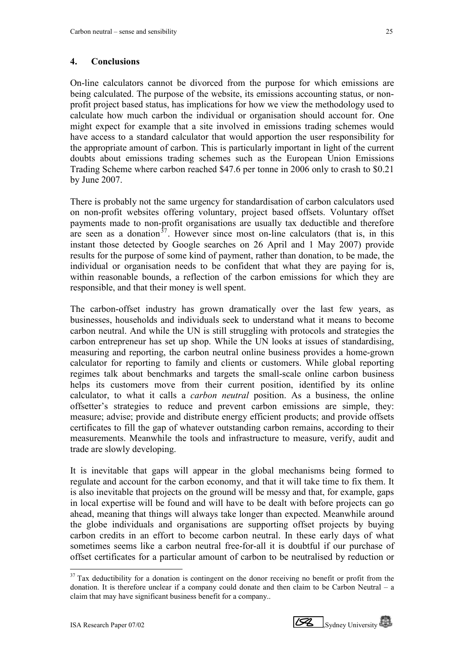#### 4. Conclusions

On-line calculators cannot be divorced from the purpose for which emissions are being calculated. The purpose of the website, its emissions accounting status, or nonprofit project based status, has implications for how we view the methodology used to calculate how much carbon the individual or organisation should account for. One might expect for example that a site involved in emissions trading schemes would have access to a standard calculator that would apportion the user responsibility for the appropriate amount of carbon. This is particularly important in light of the current doubts about emissions trading schemes such as the European Union Emissions Trading Scheme where carbon reached \$47.6 per tonne in 2006 only to crash to \$0.21 by June 2007.

There is probably not the same urgency for standardisation of carbon calculators used on non-profit websites offering voluntary, project based offsets. Voluntary offset payments made to non-profit organisations are usually tax deductible and therefore are seen as a donation<sup>37</sup>. However since most on-line calculators (that is, in this instant those detected by Google searches on 26 April and 1 May 2007) provide results for the purpose of some kind of payment, rather than donation, to be made, the individual or organisation needs to be confident that what they are paying for is, within reasonable bounds, a reflection of the carbon emissions for which they are responsible, and that their money is well spent.

The carbon-offset industry has grown dramatically over the last few years, as businesses, households and individuals seek to understand what it means to become carbon neutral. And while the UN is still struggling with protocols and strategies the carbon entrepreneur has set up shop. While the UN looks at issues of standardising, measuring and reporting, the carbon neutral online business provides a home-grown calculator for reporting to family and clients or customers. While global reporting regimes talk about benchmarks and targets the small-scale online carbon business helps its customers move from their current position, identified by its online calculator, to what it calls a carbon neutral position. As a business, the online offsetter's strategies to reduce and prevent carbon emissions are simple, they: measure; advise; provide and distribute energy efficient products; and provide offsets certificates to fill the gap of whatever outstanding carbon remains, according to their measurements. Meanwhile the tools and infrastructure to measure, verify, audit and trade are slowly developing.

It is inevitable that gaps will appear in the global mechanisms being formed to regulate and account for the carbon economy, and that it will take time to fix them. It is also inevitable that projects on the ground will be messy and that, for example, gaps in local expertise will be found and will have to be dealt with before projects can go ahead, meaning that things will always take longer than expected. Meanwhile around the globe individuals and organisations are supporting offset projects by buying carbon credits in an effort to become carbon neutral. In these early days of what sometimes seems like a carbon neutral free-for-all it is doubtful if our purchase of offset certificates for a particular amount of carbon to be neutralised by reduction or

 $\overline{a}$  $37$  Tax deductibility for a donation is contingent on the donor receiving no benefit or profit from the donation. It is therefore unclear if a company could donate and then claim to be Carbon Neutral – a claim that may have significant business benefit for a company..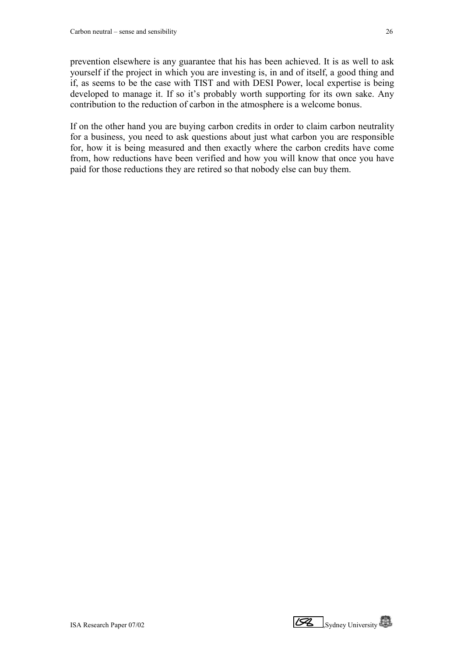prevention elsewhere is any guarantee that his has been achieved. It is as well to ask yourself if the project in which you are investing is, in and of itself, a good thing and if, as seems to be the case with TIST and with DESI Power, local expertise is being developed to manage it. If so it's probably worth supporting for its own sake. Any contribution to the reduction of carbon in the atmosphere is a welcome bonus.

If on the other hand you are buying carbon credits in order to claim carbon neutrality for a business, you need to ask questions about just what carbon you are responsible for, how it is being measured and then exactly where the carbon credits have come from, how reductions have been verified and how you will know that once you have paid for those reductions they are retired so that nobody else can buy them.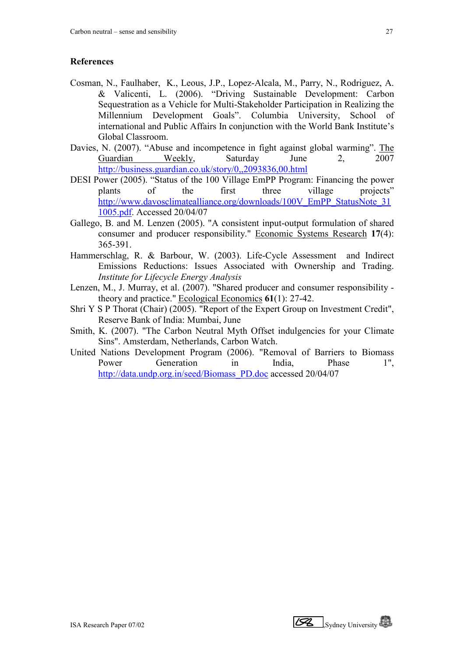#### **References**

- Cosman, N., Faulhaber, K., Leous, J.P., Lopez-Alcala, M., Parry, N., Rodriguez, A. & Valicenti, L. (2006). "Driving Sustainable Development: Carbon Sequestration as a Vehicle for Multi-Stakeholder Participation in Realizing the Millennium Development Goals". Columbia University, School of international and Public Affairs In conjunction with the World Bank Institute's Global Classroom.
- Davies, N. (2007). "Abuse and incompetence in fight against global warming". The Guardian Weekly, Saturday June 2, 2007 http://business.guardian.co.uk/story/0,,2093836,00.html
- DESI Power (2005). "Status of the 100 Village EmPP Program: Financing the power plants of the first three village projects" http://www.davosclimatealliance.org/downloads/100V\_EmPP\_StatusNote\_31 1005.pdf. Accessed 20/04/07
- Gallego, B. and M. Lenzen (2005). "A consistent input-output formulation of shared consumer and producer responsibility." Economic Systems Research 17(4): 365-391.
- Hammerschlag, R. & Barbour, W. (2003). Life-Cycle Assessment and Indirect Emissions Reductions: Issues Associated with Ownership and Trading. Institute for Lifecycle Energy Analysis
- Lenzen, M., J. Murray, et al. (2007). "Shared producer and consumer responsibility theory and practice." Ecological Economics 61(1): 27-42.
- Shri Y S P Thorat (Chair) (2005). "Report of the Expert Group on Investment Credit", Reserve Bank of India: Mumbai, June
- Smith, K. (2007). "The Carbon Neutral Myth Offset indulgencies for your Climate Sins". Amsterdam, Netherlands, Carbon Watch.
- United Nations Development Program (2006). "Removal of Barriers to Biomass Power Generation in India, Phase 1", http://data.undp.org.in/seed/Biomass\_PD.doc accessed 20/04/07

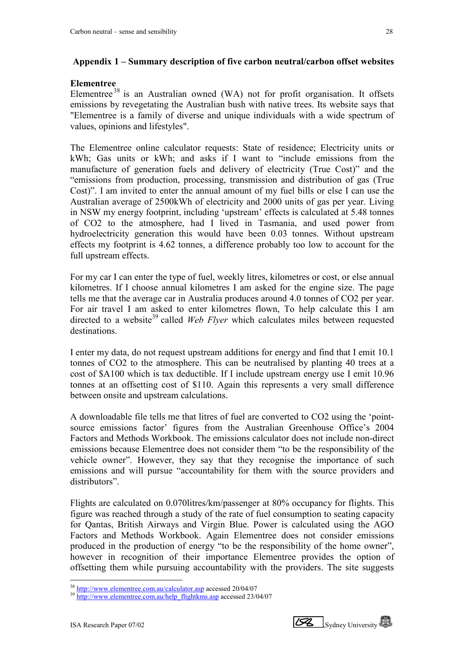#### Appendix 1 – Summary description of five carbon neutral/carbon offset websites

#### Elementree

Elementree<sup>38</sup> is an Australian owned (WA) not for profit organisation. It offsets emissions by revegetating the Australian bush with native trees. Its website says that "Elementree is a family of diverse and unique individuals with a wide spectrum of values, opinions and lifestyles".

The Elementree online calculator requests: State of residence; Electricity units or kWh; Gas units or kWh; and asks if I want to "include emissions from the manufacture of generation fuels and delivery of electricity (True Cost)" and the "emissions from production, processing, transmission and distribution of gas (True Cost)". I am invited to enter the annual amount of my fuel bills or else I can use the Australian average of 2500kWh of electricity and 2000 units of gas per year. Living in NSW my energy footprint, including 'upstream' effects is calculated at 5.48 tonnes of CO2 to the atmosphere, had I lived in Tasmania, and used power from hydroelectricity generation this would have been 0.03 tonnes. Without upstream effects my footprint is 4.62 tonnes, a difference probably too low to account for the full upstream effects.

For my car I can enter the type of fuel, weekly litres, kilometres or cost, or else annual kilometres. If I choose annual kilometres I am asked for the engine size. The page tells me that the average car in Australia produces around 4.0 tonnes of CO2 per year. For air travel I am asked to enter kilometres flown, To help calculate this I am directed to a website<sup>39</sup> called *Web Flyer* which calculates miles between requested destinations.

I enter my data, do not request upstream additions for energy and find that I emit 10.1 tonnes of CO2 to the atmosphere. This can be neutralised by planting 40 trees at a cost of \$A100 which is tax deductible. If I include upstream energy use I emit 10.96 tonnes at an offsetting cost of \$110. Again this represents a very small difference between onsite and upstream calculations.

A downloadable file tells me that litres of fuel are converted to CO2 using the 'pointsource emissions factor' figures from the Australian Greenhouse Office's 2004 Factors and Methods Workbook. The emissions calculator does not include non-direct emissions because Elementree does not consider them "to be the responsibility of the vehicle owner". However, they say that they recognise the importance of such emissions and will pursue "accountability for them with the source providers and distributors".

Flights are calculated on 0.070litres/km/passenger at 80% occupancy for flights. This figure was reached through a study of the rate of fuel consumption to seating capacity for Qantas, British Airways and Virgin Blue. Power is calculated using the AGO Factors and Methods Workbook. Again Elementree does not consider emissions produced in the production of energy "to be the responsibility of the home owner", however in recognition of their importance Elementree provides the option of offsetting them while pursuing accountability with the providers. The site suggests

 $\overline{a}$ <sup>38</sup> http://www.elementree.com.au/calculator.asp accessed 20/04/07

<sup>&</sup>lt;sup>39</sup> http://www.elementree.com.au/help\_flightkms.asp accessed 23/04/07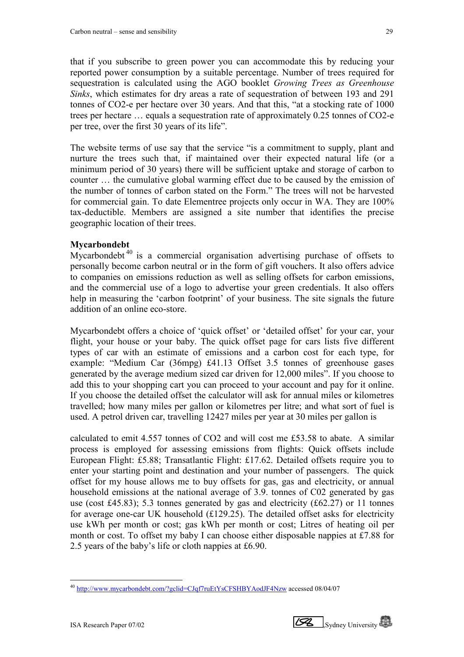that if you subscribe to green power you can accommodate this by reducing your reported power consumption by a suitable percentage. Number of trees required for sequestration is calculated using the AGO booklet Growing Trees as Greenhouse Sinks, which estimates for dry areas a rate of sequestration of between 193 and 291 tonnes of CO2-e per hectare over 30 years. And that this, "at a stocking rate of 1000 trees per hectare … equals a sequestration rate of approximately 0.25 tonnes of CO2-e per tree, over the first 30 years of its life".

The website terms of use say that the service "is a commitment to supply, plant and nurture the trees such that, if maintained over their expected natural life (or a minimum period of 30 years) there will be sufficient uptake and storage of carbon to counter … the cumulative global warming effect due to be caused by the emission of the number of tonnes of carbon stated on the Form." The trees will not be harvested for commercial gain. To date Elementree projects only occur in WA. They are 100% tax-deductible. Members are assigned a site number that identifies the precise geographic location of their trees.

#### Mycarbondebt

Mycarbondebt<sup> $40$ </sup> is a commercial organisation advertising purchase of offsets to personally become carbon neutral or in the form of gift vouchers. It also offers advice to companies on emissions reduction as well as selling offsets for carbon emissions, and the commercial use of a logo to advertise your green credentials. It also offers help in measuring the 'carbon footprint' of your business. The site signals the future addition of an online eco-store.

Mycarbondebt offers a choice of 'quick offset' or 'detailed offset' for your car, your flight, your house or your baby. The quick offset page for cars lists five different types of car with an estimate of emissions and a carbon cost for each type, for example: "Medium Car (36mpg) £41.13 Offset 3.5 tonnes of greenhouse gases generated by the average medium sized car driven for 12,000 miles". If you choose to add this to your shopping cart you can proceed to your account and pay for it online. If you choose the detailed offset the calculator will ask for annual miles or kilometres travelled; how many miles per gallon or kilometres per litre; and what sort of fuel is used. A petrol driven car, travelling 12427 miles per year at 30 miles per gallon is

calculated to emit 4.557 tonnes of CO2 and will cost me £53.58 to abate. A similar process is employed for assessing emissions from flights: Quick offsets include European Flight: £5.88; Transatlantic Flight: £17.62. Detailed offsets require you to enter your starting point and destination and your number of passengers. The quick offset for my house allows me to buy offsets for gas, gas and electricity, or annual household emissions at the national average of 3.9. tonnes of C02 generated by gas use (cost £45.83); 5.3 tonnes generated by gas and electricity (£62.27) or 11 tonnes for average one-car UK household (£129.25). The detailed offset asks for electricity use kWh per month or cost; gas kWh per month or cost; Litres of heating oil per month or cost. To offset my baby I can choose either disposable nappies at £7.88 for 2.5 years of the baby's life or cloth nappies at £6.90.



 $\overline{a}$ <sup>40</sup> http://www.mycarbondebt.com/?gclid=CJqf7ruEtYsCFSHBYAodJF4Nzw accessed 08/04/07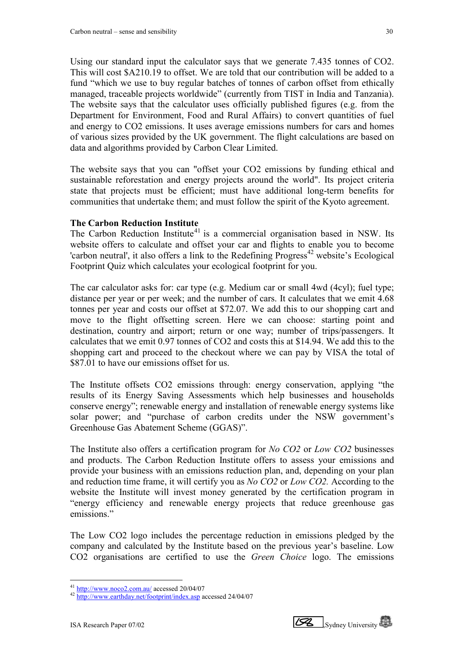Using our standard input the calculator says that we generate 7.435 tonnes of CO2. This will cost \$A210.19 to offset. We are told that our contribution will be added to a fund "which we use to buy regular batches of tonnes of carbon offset from ethically managed, traceable projects worldwide" (currently from TIST in India and Tanzania). The website says that the calculator uses officially published figures (e.g. from the Department for Environment, Food and Rural Affairs) to convert quantities of fuel and energy to CO2 emissions. It uses average emissions numbers for cars and homes of various sizes provided by the UK government. The flight calculations are based on data and algorithms provided by Carbon Clear Limited.

The website says that you can "offset your CO2 emissions by funding ethical and sustainable reforestation and energy projects around the world". Its project criteria state that projects must be efficient; must have additional long-term benefits for communities that undertake them; and must follow the spirit of the Kyoto agreement.

#### The Carbon Reduction Institute

The Carbon Reduction Institute<sup>41</sup> is a commercial organisation based in NSW. Its website offers to calculate and offset your car and flights to enable you to become 'carbon neutral', it also offers a link to the Redefining Progress<sup>42</sup> website's Ecological Footprint Quiz which calculates your ecological footprint for you.

The car calculator asks for: car type (e.g. Medium car or small 4wd (4cyl); fuel type; distance per year or per week; and the number of cars. It calculates that we emit 4.68 tonnes per year and costs our offset at \$72.07. We add this to our shopping cart and move to the flight offsetting screen. Here we can choose: starting point and destination, country and airport; return or one way; number of trips/passengers. It calculates that we emit 0.97 tonnes of CO2 and costs this at \$14.94. We add this to the shopping cart and proceed to the checkout where we can pay by VISA the total of \$87.01 to have our emissions offset for us.

The Institute offsets CO2 emissions through: energy conservation, applying "the results of its Energy Saving Assessments which help businesses and households conserve energy"; renewable energy and installation of renewable energy systems like solar power; and "purchase of carbon credits under the NSW government's Greenhouse Gas Abatement Scheme (GGAS)".

The Institute also offers a certification program for No CO2 or Low CO2 businesses and products. The Carbon Reduction Institute offers to assess your emissions and provide your business with an emissions reduction plan, and, depending on your plan and reduction time frame, it will certify you as No CO2 or Low CO2. According to the website the Institute will invest money generated by the certification program in "energy efficiency and renewable energy projects that reduce greenhouse gas emissions."

The Low CO2 logo includes the percentage reduction in emissions pledged by the company and calculated by the Institute based on the previous year's baseline. Low CO2 organisations are certified to use the Green Choice logo. The emissions

 $\overline{a}$ <sup>41</sup> http://www.noco2.com.au/ accessed 20/04/07

<sup>42</sup> http://www.earthday.net/footprint/index.asp accessed 24/04/07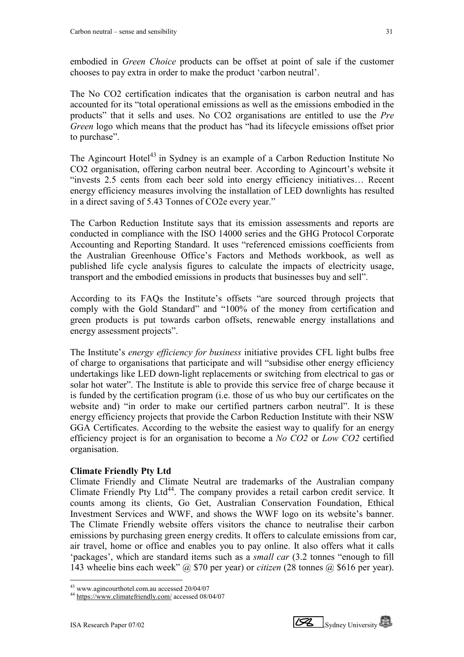embodied in Green Choice products can be offset at point of sale if the customer chooses to pay extra in order to make the product 'carbon neutral'.

The No CO2 certification indicates that the organisation is carbon neutral and has accounted for its "total operational emissions as well as the emissions embodied in the products" that it sells and uses. No CO2 organisations are entitled to use the Pre Green logo which means that the product has "had its lifecycle emissions offset prior to purchase".

The Agincourt Hotel<sup>43</sup> in Sydney is an example of a Carbon Reduction Institute No CO2 organisation, offering carbon neutral beer. According to Agincourt's website it "invests 2.5 cents from each beer sold into energy efficiency initiatives… Recent energy efficiency measures involving the installation of LED downlights has resulted in a direct saving of 5.43 Tonnes of CO2e every year."

The Carbon Reduction Institute says that its emission assessments and reports are conducted in compliance with the ISO 14000 series and the GHG Protocol Corporate Accounting and Reporting Standard. It uses "referenced emissions coefficients from the Australian Greenhouse Office's Factors and Methods workbook, as well as published life cycle analysis figures to calculate the impacts of electricity usage, transport and the embodied emissions in products that businesses buy and sell".

According to its FAQs the Institute's offsets "are sourced through projects that comply with the Gold Standard" and "100% of the money from certification and green products is put towards carbon offsets, renewable energy installations and energy assessment projects".

The Institute's *energy efficiency for business* initiative provides CFL light bulbs free of charge to organisations that participate and will "subsidise other energy efficiency undertakings like LED down-light replacements or switching from electrical to gas or solar hot water". The Institute is able to provide this service free of charge because it is funded by the certification program (i.e. those of us who buy our certificates on the website and) "in order to make our certified partners carbon neutral". It is these energy efficiency projects that provide the Carbon Reduction Institute with their NSW GGA Certificates. According to the website the easiest way to qualify for an energy efficiency project is for an organisation to become a No CO2 or Low CO2 certified organisation.

#### Climate Friendly Pty Ltd

Climate Friendly and Climate Neutral are trademarks of the Australian company Climate Friendly Pty Ltd<sup>44</sup>. The company provides a retail carbon credit service. It counts among its clients, Go Get, Australian Conservation Foundation, Ethical Investment Services and WWF, and shows the WWF logo on its website's banner. The Climate Friendly website offers visitors the chance to neutralise their carbon emissions by purchasing green energy credits. It offers to calculate emissions from car, air travel, home or office and enables you to pay online. It also offers what it calls 'packages', which are standard items such as a small car (3.2 tonnes "enough to fill 143 wheelie bins each week" @ \$70 per year) or citizen (28 tonnes @ \$616 per year).



 $\overline{a}$ <sup>43</sup> www.agincourthotel.com.au accessed 20/04/07

<sup>44</sup> https://www.climatefriendly.com/ accessed 08/04/07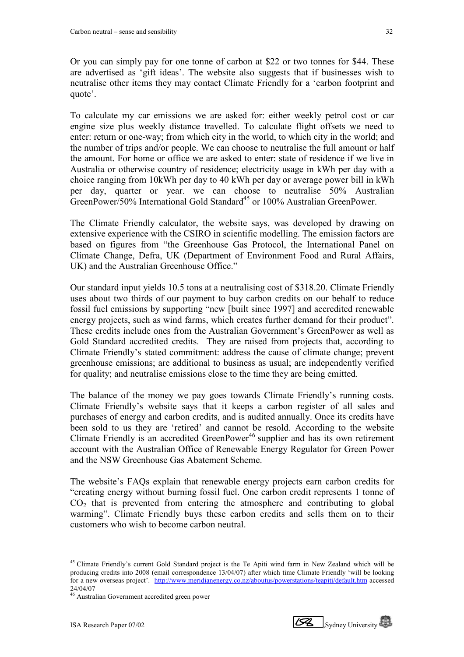Or you can simply pay for one tonne of carbon at \$22 or two tonnes for \$44. These are advertised as 'gift ideas'. The website also suggests that if businesses wish to neutralise other items they may contact Climate Friendly for a 'carbon footprint and quote'.

To calculate my car emissions we are asked for: either weekly petrol cost or car engine size plus weekly distance travelled. To calculate flight offsets we need to enter: return or one-way; from which city in the world, to which city in the world; and the number of trips and/or people. We can choose to neutralise the full amount or half the amount. For home or office we are asked to enter: state of residence if we live in Australia or otherwise country of residence; electricity usage in kWh per day with a choice ranging from 10kWh per day to 40 kWh per day or average power bill in kWh per day, quarter or year. we can choose to neutralise 50% Australian  $GreenPower/50\%$  International Gold Standard<sup>45</sup> or 100% Australian GreenPower.

The Climate Friendly calculator, the website says, was developed by drawing on extensive experience with the CSIRO in scientific modelling. The emission factors are based on figures from "the Greenhouse Gas Protocol, the International Panel on Climate Change, Defra, UK (Department of Environment Food and Rural Affairs, UK) and the Australian Greenhouse Office."

Our standard input yields 10.5 tons at a neutralising cost of \$318.20. Climate Friendly uses about two thirds of our payment to buy carbon credits on our behalf to reduce fossil fuel emissions by supporting "new [built since 1997] and accredited renewable energy projects, such as wind farms, which creates further demand for their product". These credits include ones from the Australian Government's GreenPower as well as Gold Standard accredited credits. They are raised from projects that, according to Climate Friendly's stated commitment: address the cause of climate change; prevent greenhouse emissions; are additional to business as usual; are independently verified for quality; and neutralise emissions close to the time they are being emitted.

The balance of the money we pay goes towards Climate Friendly's running costs. Climate Friendly's website says that it keeps a carbon register of all sales and purchases of energy and carbon credits, and is audited annually. Once its credits have been sold to us they are 'retired' and cannot be resold. According to the website Climate Friendly is an accredited GreenPower<sup>46</sup> supplier and has its own retirement account with the Australian Office of Renewable Energy Regulator for Green Power and the NSW Greenhouse Gas Abatement Scheme.

The website's FAQs explain that renewable energy projects earn carbon credits for "creating energy without burning fossil fuel. One carbon credit represents 1 tonne of  $CO<sub>2</sub>$  that is prevented from entering the atmosphere and contributing to global warming". Climate Friendly buys these carbon credits and sells them on to their customers who wish to become carbon neutral.

 $\overline{a}$ 



<sup>&</sup>lt;sup>45</sup> Climate Friendly's current Gold Standard project is the Te Apiti wind farm in New Zealand which will be producing credits into 2008 (email correspondence 13/04/07) after which time Climate Friendly 'will be looking for a new overseas project'. http://www.meridianenergy.co.nz/aboutus/powerstations/teapiti/default.htm accessed 24/04/07

<sup>46</sup> Australian Government accredited green power